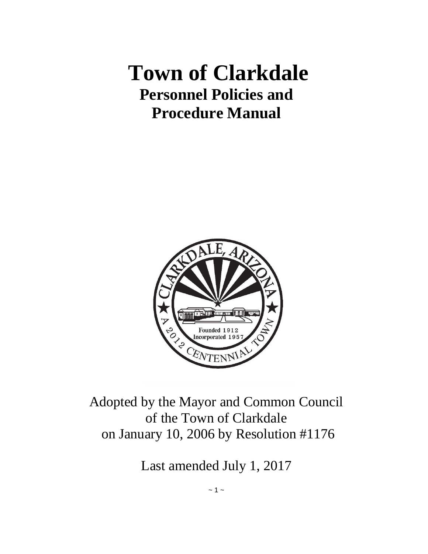# **Town of Clarkdale Personnel Policies and Procedure Manual**



Adopted by the Mayor and Common Council of the Town of Clarkdale on January 10, 2006 by Resolution #1176

Last amended July 1, 2017

 $~\sim$  1  $~\sim$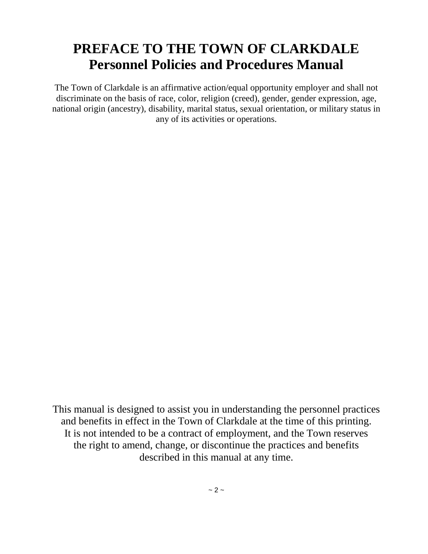# **PREFACE TO THE TOWN OF CLARKDALE Personnel Policies and Procedures Manual**

The Town of Clarkdale is an affirmative action/equal opportunity employer and shall not discriminate on the basis of race, color, religion (creed), gender, gender expression, age, national origin (ancestry), disability, marital status, sexual orientation, or military status in any of its activities or operations.

This manual is designed to assist you in understanding the personnel practices and benefits in effect in the Town of Clarkdale at the time of this printing. It is not intended to be a contract of employment, and the Town reserves the right to amend, change, or discontinue the practices and benefits described in this manual at any time.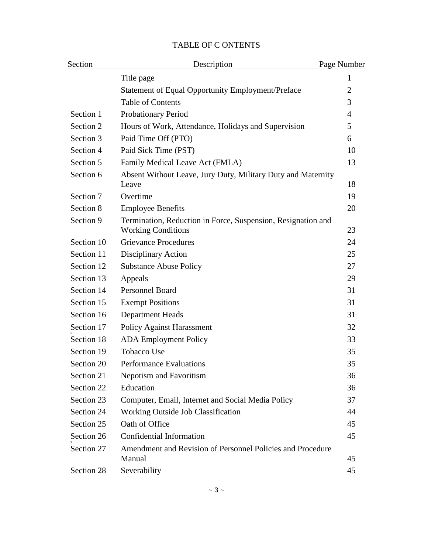| Section    | Description                                                                               | Page Number |  |
|------------|-------------------------------------------------------------------------------------------|-------------|--|
|            | Title page                                                                                | 1           |  |
|            | <b>Statement of Equal Opportunity Employment/Preface</b>                                  | 2           |  |
|            | <b>Table of Contents</b>                                                                  | 3           |  |
| Section 1  | <b>Probationary Period</b>                                                                | 4           |  |
| Section 2  | Hours of Work, Attendance, Holidays and Supervision                                       | 5           |  |
| Section 3  | Paid Time Off (PTO)                                                                       | 6           |  |
| Section 4  | Paid Sick Time (PST)                                                                      | 10          |  |
| Section 5  | Family Medical Leave Act (FMLA)                                                           | 13          |  |
| Section 6  | Absent Without Leave, Jury Duty, Military Duty and Maternity<br>Leave                     | 18          |  |
| Section 7  | Overtime                                                                                  | 19          |  |
| Section 8  | <b>Employee Benefits</b>                                                                  | 20          |  |
| Section 9  | Termination, Reduction in Force, Suspension, Resignation and<br><b>Working Conditions</b> | 23          |  |
| Section 10 | <b>Grievance Procedures</b>                                                               | 24          |  |
| Section 11 | Disciplinary Action                                                                       | 25          |  |
| Section 12 | <b>Substance Abuse Policy</b>                                                             | 27          |  |
| Section 13 | Appeals                                                                                   | 29          |  |
| Section 14 | <b>Personnel Board</b>                                                                    | 31          |  |
| Section 15 | <b>Exempt Positions</b>                                                                   | 31          |  |
| Section 16 | <b>Department Heads</b>                                                                   | 31          |  |
| Section 17 | <b>Policy Against Harassment</b>                                                          | 32          |  |
| Section 18 | <b>ADA</b> Employment Policy                                                              | 33          |  |
| Section 19 | <b>Tobacco Use</b>                                                                        | 35          |  |
| Section 20 | <b>Performance Evaluations</b>                                                            | 35          |  |
| Section 21 | <b>Nepotism and Favoritism</b>                                                            | 36          |  |
| Section 22 | Education                                                                                 | 36          |  |
| Section 23 | Computer, Email, Internet and Social Media Policy                                         | 37          |  |
| Section 24 | <b>Working Outside Job Classification</b>                                                 | 44          |  |
| Section 25 | Oath of Office                                                                            | 45          |  |
| Section 26 | Confidential Information                                                                  | 45          |  |
| Section 27 | Amendment and Revision of Personnel Policies and Procedure<br>Manual                      | 45          |  |
| Section 28 | Severability                                                                              | 45          |  |

#### TABLE OF C ONTENTS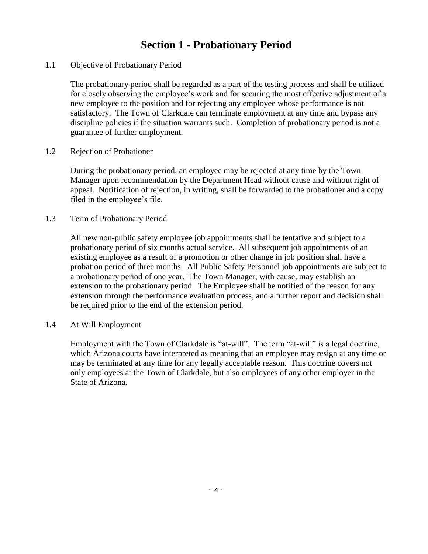### **Section 1 - Probationary Period**

#### 1.1 Objective of Probationary Period

The probationary period shall be regarded as a part of the testing process and shall be utilized for closely observing the employee's work and for securing the most effective adjustment of a new employee to the position and for rejecting any employee whose performance is not satisfactory. The Town of Clarkdale can terminate employment at any time and bypass any discipline policies if the situation warrants such. Completion of probationary period is not a guarantee of further employment.

#### 1.2 Rejection of Probationer

During the probationary period, an employee may be rejected at any time by the Town Manager upon recommendation by the Department Head without cause and without right of appeal. Notification of rejection, in writing, shall be forwarded to the probationer and a copy filed in the employee's file.

#### 1.3 Term of Probationary Period

All new non-public safety employee job appointments shall be tentative and subject to a probationary period of six months actual service. All subsequent job appointments of an existing employee as a result of a promotion or other change in job position shall have a probation period of three months. All Public Safety Personnel job appointments are subject to a probationary period of one year. The Town Manager, with cause, may establish an extension to the probationary period. The Employee shall be notified of the reason for any extension through the performance evaluation process, and a further report and decision shall be required prior to the end of the extension period.

#### 1.4 At Will Employment

Employment with the Town of Clarkdale is "at-will". The term "at-will" is a legal doctrine, which Arizona courts have interpreted as meaning that an employee may resign at any time or may be terminated at any time for any legally acceptable reason. This doctrine covers not only employees at the Town of Clarkdale, but also employees of any other employer in the State of Arizona.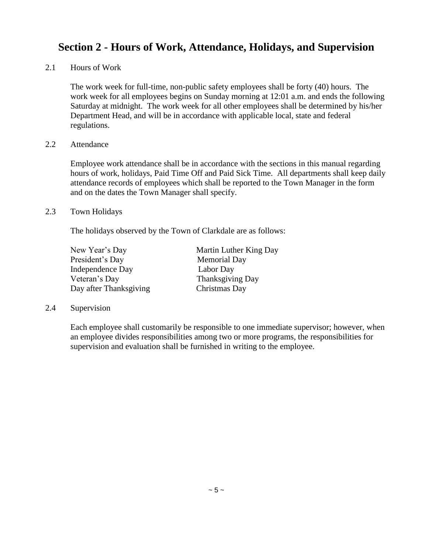# **Section 2 - Hours of Work, Attendance, Holidays, and Supervision**

2.1 Hours of Work

The work week for full-time, non-public safety employees shall be forty (40) hours. The work week for all employees begins on Sunday morning at 12:01 a.m. and ends the following Saturday at midnight.The work week for all other employees shall be determined by his/her Department Head, and will be in accordance with applicable local, state and federal regulations.

#### 2.2 Attendance

Employee work attendance shall be in accordance with the sections in this manual regarding hours of work, holidays, Paid Time Off and Paid Sick Time. All departments shall keep daily attendance records of employees which shall be reported to the Town Manager in the form and on the dates the Town Manager shall specify.

#### 2.3 Town Holidays

The holidays observed by the Town of Clarkdale are as follows:

| New Year's Day         | Martin Luther King Day |
|------------------------|------------------------|
| President's Day        | <b>Memorial Day</b>    |
| Independence Day       | Labor Day              |
| Veteran's Day          | Thanksgiving Day       |
| Day after Thanksgiving | Christmas Day          |

#### 2.4 Supervision

Each employee shall customarily be responsible to one immediate supervisor; however, when an employee divides responsibilities among two or more programs, the responsibilities for supervision and evaluation shall be furnished in writing to the employee.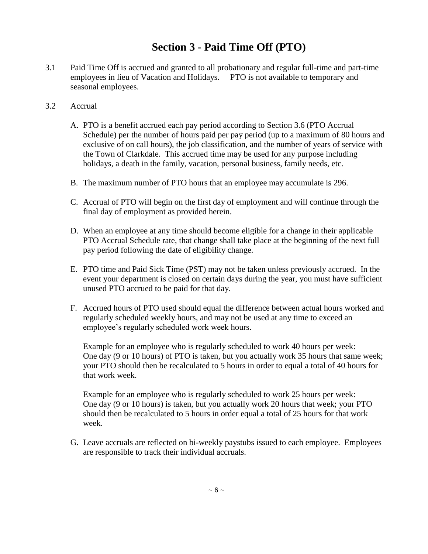# **Section 3 - Paid Time Off (PTO)**

- 3.1 Paid Time Off is accrued and granted to all probationary and regular full-time and part-time employees in lieu of Vacation and Holidays. PTO is not available to temporary and seasonal employees.
- 3.2 Accrual
	- A. PTO is a benefit accrued each pay period according to Section 3.6 (PTO Accrual Schedule) per the number of hours paid per pay period (up to a maximum of 80 hours and exclusive of on call hours), the job classification, and the number of years of service with the Town of Clarkdale. This accrued time may be used for any purpose including holidays, a death in the family, vacation, personal business, family needs, etc.
	- B. The maximum number of PTO hours that an employee may accumulate is 296.
	- C. Accrual of PTO will begin on the first day of employment and will continue through the final day of employment as provided herein.
	- D. When an employee at any time should become eligible for a change in their applicable PTO Accrual Schedule rate, that change shall take place at the beginning of the next full pay period following the date of eligibility change.
	- E. PTO time and Paid Sick Time (PST) may not be taken unless previously accrued. In the event your department is closed on certain days during the year, you must have sufficient unused PTO accrued to be paid for that day.
	- F. Accrued hours of PTO used should equal the difference between actual hours worked and regularly scheduled weekly hours, and may not be used at any time to exceed an employee's regularly scheduled work week hours.

Example for an employee who is regularly scheduled to work 40 hours per week: One day (9 or 10 hours) of PTO is taken, but you actually work 35 hours that same week; your PTO should then be recalculated to 5 hours in order to equal a total of 40 hours for that work week.

Example for an employee who is regularly scheduled to work 25 hours per week: One day (9 or 10 hours) is taken, but you actually work 20 hours that week; your PTO should then be recalculated to 5 hours in order equal a total of 25 hours for that work week.

G. Leave accruals are reflected on bi-weekly paystubs issued to each employee. Employees are responsible to track their individual accruals.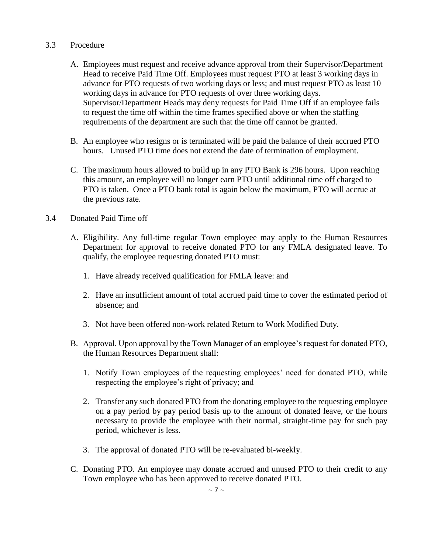#### 3.3 Procedure

- A. Employees must request and receive advance approval from their Supervisor/Department Head to receive Paid Time Off. Employees must request PTO at least 3 working days in advance for PTO requests of two working days or less; and must request PTO as least 10 working days in advance for PTO requests of over three working days. Supervisor/Department Heads may deny requests for Paid Time Off if an employee fails to request the time off within the time frames specified above or when the staffing requirements of the department are such that the time off cannot be granted.
- B. An employee who resigns or is terminated will be paid the balance of their accrued PTO hours. Unused PTO time does not extend the date of termination of employment.
- C. The maximum hours allowed to build up in any PTO Bank is 296 hours. Upon reaching this amount, an employee will no longer earn PTO until additional time off charged to PTO is taken. Once a PTO bank total is again below the maximum, PTO will accrue at the previous rate.

#### 3.4 Donated Paid Time off

- A. Eligibility. Any full-time regular Town employee may apply to the Human Resources Department for approval to receive donated PTO for any FMLA designated leave. To qualify, the employee requesting donated PTO must:
	- 1. Have already received qualification for FMLA leave: and
	- 2. Have an insufficient amount of total accrued paid time to cover the estimated period of absence; and
	- 3. Not have been offered non-work related Return to Work Modified Duty.
- B. Approval. Upon approval by the Town Manager of an employee's request for donated PTO, the Human Resources Department shall:
	- 1. Notify Town employees of the requesting employees' need for donated PTO, while respecting the employee's right of privacy; and
	- 2. Transfer any such donated PTO from the donating employee to the requesting employee on a pay period by pay period basis up to the amount of donated leave, or the hours necessary to provide the employee with their normal, straight-time pay for such pay period, whichever is less.
	- 3. The approval of donated PTO will be re-evaluated bi-weekly.
- C. Donating PTO. An employee may donate accrued and unused PTO to their credit to any Town employee who has been approved to receive donated PTO.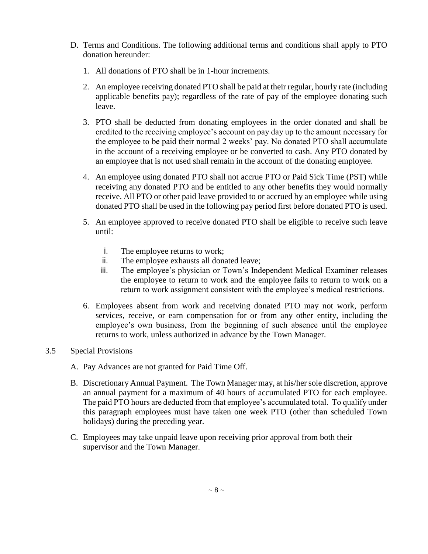- D. Terms and Conditions. The following additional terms and conditions shall apply to PTO donation hereunder:
	- 1. All donations of PTO shall be in 1-hour increments.
	- 2. An employee receiving donated PTO shall be paid at their regular, hourly rate (including applicable benefits pay); regardless of the rate of pay of the employee donating such leave.
	- 3. PTO shall be deducted from donating employees in the order donated and shall be credited to the receiving employee's account on pay day up to the amount necessary for the employee to be paid their normal 2 weeks' pay. No donated PTO shall accumulate in the account of a receiving employee or be converted to cash. Any PTO donated by an employee that is not used shall remain in the account of the donating employee.
	- 4. An employee using donated PTO shall not accrue PTO or Paid Sick Time (PST) while receiving any donated PTO and be entitled to any other benefits they would normally receive. All PTO or other paid leave provided to or accrued by an employee while using donated PTO shall be used in the following pay period first before donated PTO is used.
	- 5. An employee approved to receive donated PTO shall be eligible to receive such leave until:
		- i. The employee returns to work;
		- ii. The employee exhausts all donated leave;
		- iii. The employee's physician or Town's Independent Medical Examiner releases the employee to return to work and the employee fails to return to work on a return to work assignment consistent with the employee's medical restrictions.
	- 6. Employees absent from work and receiving donated PTO may not work, perform services, receive, or earn compensation for or from any other entity, including the employee's own business, from the beginning of such absence until the employee returns to work, unless authorized in advance by the Town Manager.

#### 3.5 Special Provisions

- A. Pay Advances are not granted for Paid Time Off.
- B. Discretionary Annual Payment. The Town Manager may, at his/her sole discretion, approve an annual payment for a maximum of 40 hours of accumulated PTO for each employee. The paid PTO hours are deducted from that employee's accumulated total. To qualify under this paragraph employees must have taken one week PTO (other than scheduled Town holidays) during the preceding year.
- C. Employees may take unpaid leave upon receiving prior approval from both their supervisor and the Town Manager.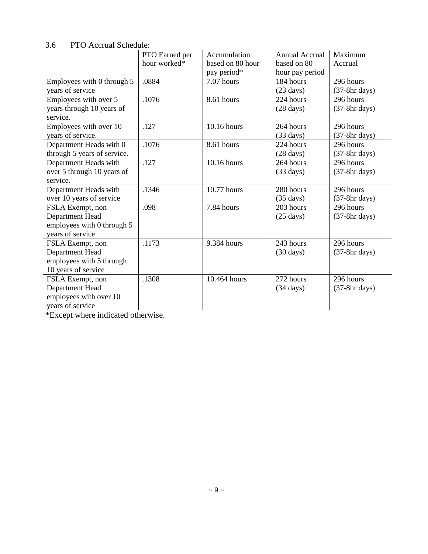|                             | PTO Earned per | Accumulation     | <b>Annual Accrual</b> | Maximum         |
|-----------------------------|----------------|------------------|-----------------------|-----------------|
|                             | hour worked*   | based on 80 hour | based on 80           | Accrual         |
|                             |                | pay period*      | hour pay period       |                 |
| Employees with 0 through 5  | .0884          | 7.07 hours       | 184 hours             | 296 hours       |
| years of service            |                |                  | $(23 \text{ days})$   | $(37-8hr$ days) |
| Employees with over 5       | .1076          | 8.61 hours       | 224 hours             | 296 hours       |
| years through 10 years of   |                |                  | $(28 \text{ days})$   | $(37-8hr$ days) |
| service.                    |                |                  |                       |                 |
| Employees with over 10      | .127           | 10.16 hours      | 264 hours             | 296 hours       |
| years of service.           |                |                  | $(33 \text{ days})$   | $(37-8hr$ days) |
| Department Heads with 0     | .1076          | 8.61 hours       | 224 hours             | 296 hours       |
| through 5 years of service. |                |                  | $(28 \text{ days})$   | $(37-8hr$ days) |
| Department Heads with       | .127           | 10.16 hours      | 264 hours             | 296 hours       |
| over 5 through 10 years of  |                |                  | $(33 \text{ days})$   | $(37-8hr$ days) |
| service.                    |                |                  |                       |                 |
| Department Heads with       | .1346          | 10.77 hours      | 280 hours             | 296 hours       |
| over 10 years of service    |                |                  | $(35 \text{ days})$   | $(37-8hr$ days) |
| FSLA Exempt, non            | .098           | 7.84 hours       | 203 hours             | 296 hours       |
| Department Head             |                |                  | $(25 \text{ days})$   | $(37-8hr$ days) |
| employees with 0 through 5  |                |                  |                       |                 |
| years of service            |                |                  |                       |                 |
| FSLA Exempt, non            | .1173          | 9.384 hours      | 243 hours             | 296 hours       |
| Department Head             |                |                  | $(30 \text{ days})$   | $(37-8hr$ days) |
| employees with 5 through    |                |                  |                       |                 |
| 10 years of service         |                |                  |                       |                 |
| FSLA Exempt, non            | .1308          | 10.464 hours     | 272 hours             | 296 hours       |
| Department Head             |                |                  | $(34 \text{ days})$   | $(37-8hr$ days) |
| employees with over 10      |                |                  |                       |                 |
| years of service            |                |                  |                       |                 |

3.6 PTO Accrual Schedule:

\*Except where indicated otherwise.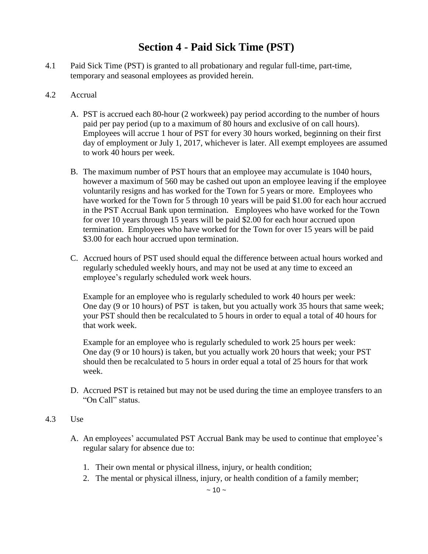### **Section 4 - Paid Sick Time (PST)**

- 4.1 Paid Sick Time (PST) is granted to all probationary and regular full-time, part-time, temporary and seasonal employees as provided herein.
- 4.2 Accrual
	- A. PST is accrued each 80-hour (2 workweek) pay period according to the number of hours paid per pay period (up to a maximum of 80 hours and exclusive of on call hours). Employees will accrue 1 hour of PST for every 30 hours worked, beginning on their first day of employment or July 1, 2017, whichever is later. All exempt employees are assumed to work 40 hours per week.
	- B. The maximum number of PST hours that an employee may accumulate is 1040 hours, however a maximum of 560 may be cashed out upon an employee leaving if the employee voluntarily resigns and has worked for the Town for 5 years or more. Employees who have worked for the Town for 5 through 10 years will be paid \$1.00 for each hour accrued in the PST Accrual Bank upon termination. Employees who have worked for the Town for over 10 years through 15 years will be paid \$2.00 for each hour accrued upon termination. Employees who have worked for the Town for over 15 years will be paid \$3.00 for each hour accrued upon termination.
	- C. Accrued hours of PST used should equal the difference between actual hours worked and regularly scheduled weekly hours, and may not be used at any time to exceed an employee's regularly scheduled work week hours.

Example for an employee who is regularly scheduled to work 40 hours per week: One day (9 or 10 hours) of PST is taken, but you actually work 35 hours that same week; your PST should then be recalculated to 5 hours in order to equal a total of 40 hours for that work week.

Example for an employee who is regularly scheduled to work 25 hours per week: One day (9 or 10 hours) is taken, but you actually work 20 hours that week; your PST should then be recalculated to 5 hours in order equal a total of 25 hours for that work week.

D. Accrued PST is retained but may not be used during the time an employee transfers to an "On Call" status.

#### 4.3 Use

- A. An employees' accumulated PST Accrual Bank may be used to continue that employee's regular salary for absence due to:
	- 1. Their own mental or physical illness, injury, or health condition;
	- 2. The mental or physical illness, injury, or health condition of a family member;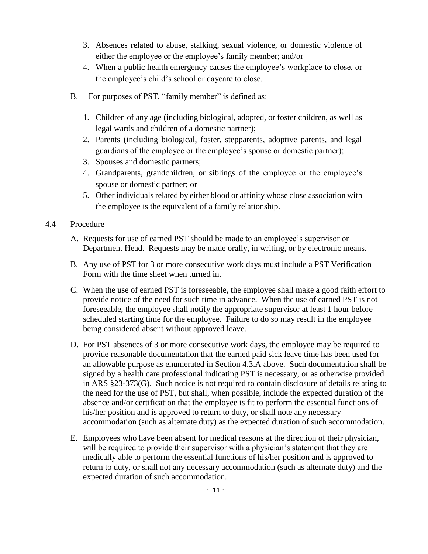- 3. Absences related to abuse, stalking, sexual violence, or domestic violence of either the employee or the employee's family member; and/or
- 4. When a public health emergency causes the employee's workplace to close, or the employee's child's school or daycare to close.
- B. For purposes of PST, "family member" is defined as:
	- 1. Children of any age (including biological, adopted, or foster children, as well as legal wards and children of a domestic partner);
	- 2. Parents (including biological, foster, stepparents, adoptive parents, and legal guardians of the employee or the employee's spouse or domestic partner);
	- 3. Spouses and domestic partners;
	- 4. Grandparents, grandchildren, or siblings of the employee or the employee's spouse or domestic partner; or
	- 5. Other individuals related by either blood or affinity whose close association with the employee is the equivalent of a family relationship.
- 4.4 Procedure
	- A. Requests for use of earned PST should be made to an employee's supervisor or Department Head. Requests may be made orally, in writing, or by electronic means.
	- B. Any use of PST for 3 or more consecutive work days must include a PST Verification Form with the time sheet when turned in.
	- C. When the use of earned PST is foreseeable, the employee shall make a good faith effort to provide notice of the need for such time in advance. When the use of earned PST is not foreseeable, the employee shall notify the appropriate supervisor at least 1 hour before scheduled starting time for the employee. Failure to do so may result in the employee being considered absent without approved leave.
	- D. For PST absences of 3 or more consecutive work days, the employee may be required to provide reasonable documentation that the earned paid sick leave time has been used for an allowable purpose as enumerated in Section 4.3.A above. Such documentation shall be signed by a health care professional indicating PST is necessary, or as otherwise provided in ARS §23-373(G). Such notice is not required to contain disclosure of details relating to the need for the use of PST, but shall, when possible, include the expected duration of the absence and/or certification that the employee is fit to perform the essential functions of his/her position and is approved to return to duty, or shall note any necessary accommodation (such as alternate duty) as the expected duration of such accommodation.
	- E. Employees who have been absent for medical reasons at the direction of their physician, will be required to provide their supervisor with a physician's statement that they are medically able to perform the essential functions of his/her position and is approved to return to duty, or shall not any necessary accommodation (such as alternate duty) and the expected duration of such accommodation.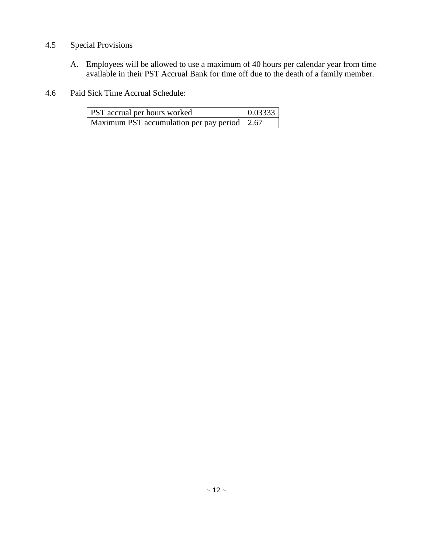#### 4.5 Special Provisions

- A. Employees will be allowed to use a maximum of 40 hours per calendar year from time available in their PST Accrual Bank for time off due to the death of a family member.
- 4.6 Paid Sick Time Accrual Schedule:

| PST accrual per hours worked                 | 0.03333 |
|----------------------------------------------|---------|
| Maximum PST accumulation per pay period 2.67 |         |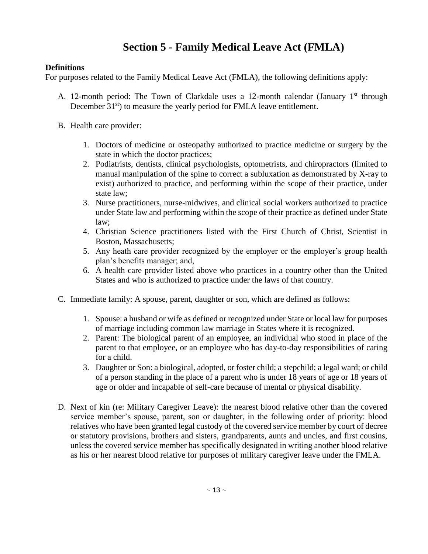# **Section 5 - Family Medical Leave Act (FMLA)**

#### **Definitions**

For purposes related to the Family Medical Leave Act (FMLA), the following definitions apply:

- A. 12-month period: The Town of Clarkdale uses a 12-month calendar (January  $1<sup>st</sup>$  through December 31<sup>st</sup>) to measure the yearly period for FMLA leave entitlement.
- B. Health care provider:
	- 1. Doctors of medicine or osteopathy authorized to practice medicine or surgery by the state in which the doctor practices;
	- 2. Podiatrists, dentists, clinical psychologists, optometrists, and chiropractors (limited to manual manipulation of the spine to correct a subluxation as demonstrated by X-ray to exist) authorized to practice, and performing within the scope of their practice, under state law;
	- 3. Nurse practitioners, nurse-midwives, and clinical social workers authorized to practice under State law and performing within the scope of their practice as defined under State law;
	- 4. Christian Science practitioners listed with the First Church of Christ, Scientist in Boston, Massachusetts;
	- 5. Any heath care provider recognized by the employer or the employer's group health plan's benefits manager; and,
	- 6. A health care provider listed above who practices in a country other than the United States and who is authorized to practice under the laws of that country.
- C. Immediate family: A spouse, parent, daughter or son, which are defined as follows:
	- 1. Spouse: a husband or wife as defined or recognized under State or local law for purposes of marriage including common law marriage in States where it is recognized.
	- 2. Parent: The biological parent of an employee, an individual who stood in place of the parent to that employee, or an employee who has day-to-day responsibilities of caring for a child.
	- 3. Daughter or Son: a biological, adopted, or foster child; a stepchild; a legal ward; or child of a person standing in the place of a parent who is under 18 years of age or 18 years of age or older and incapable of self-care because of mental or physical disability.
- D. Next of kin (re: Military Caregiver Leave): the nearest blood relative other than the covered service member's spouse, parent, son or daughter, in the following order of priority: blood relatives who have been granted legal custody of the covered service member by court of decree or statutory provisions, brothers and sisters, grandparents, aunts and uncles, and first cousins, unless the covered service member has specifically designated in writing another blood relative as his or her nearest blood relative for purposes of military caregiver leave under the FMLA.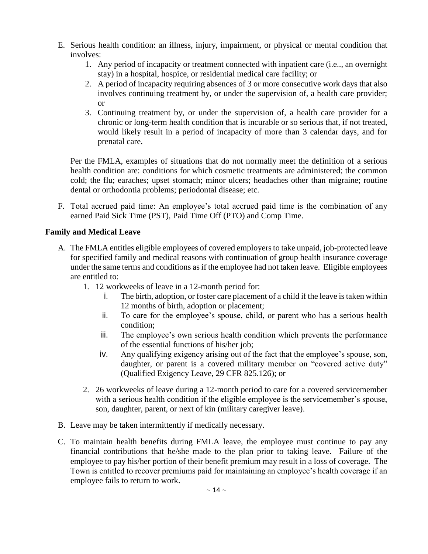- E. Serious health condition: an illness, injury, impairment, or physical or mental condition that involves:
	- 1. Any period of incapacity or treatment connected with inpatient care (i.e.., an overnight stay) in a hospital, hospice, or residential medical care facility; or
	- 2. A period of incapacity requiring absences of 3 or more consecutive work days that also involves continuing treatment by, or under the supervision of, a health care provider; or
	- 3. Continuing treatment by, or under the supervision of, a health care provider for a chronic or long-term health condition that is incurable or so serious that, if not treated, would likely result in a period of incapacity of more than 3 calendar days, and for prenatal care.

Per the FMLA, examples of situations that do not normally meet the definition of a serious health condition are: conditions for which cosmetic treatments are administered; the common cold; the flu; earaches; upset stomach; minor ulcers; headaches other than migraine; routine dental or orthodontia problems; periodontal disease; etc.

F. Total accrued paid time: An employee's total accrued paid time is the combination of any earned Paid Sick Time (PST), Paid Time Off (PTO) and Comp Time.

#### **Family and Medical Leave**

- A. The FMLA entitles eligible employees of covered employers to take unpaid, job-protected leave for specified family and medical reasons with continuation of group health insurance coverage under the same terms and conditions as if the employee had not taken leave. Eligible employees are entitled to:
	- 1. 12 workweeks of leave in a 12-month period for:
		- i. The birth, adoption, or foster care placement of a child if the leave is taken within 12 months of birth, adoption or placement;
		- ii. To care for the employee's spouse, child, or parent who has a serious health condition;
		- iii. The employee's own serious health condition which prevents the performance of the essential functions of his/her job;
		- iv. Any qualifying exigency arising out of the fact that the employee's spouse, son, daughter, or parent is a covered military member on "covered active duty" (Qualified Exigency Leave, 29 CFR 825.126); or
	- 2. 26 workweeks of leave during a 12-month period to care for a covered servicemember with a serious health condition if the eligible employee is the servicemember's spouse, son, daughter, parent, or next of kin (military caregiver leave).
- B. Leave may be taken intermittently if medically necessary.
- C. To maintain health benefits during FMLA leave, the employee must continue to pay any financial contributions that he/she made to the plan prior to taking leave. Failure of the employee to pay his/her portion of their benefit premium may result in a loss of coverage. The Town is entitled to recover premiums paid for maintaining an employee's health coverage if an employee fails to return to work.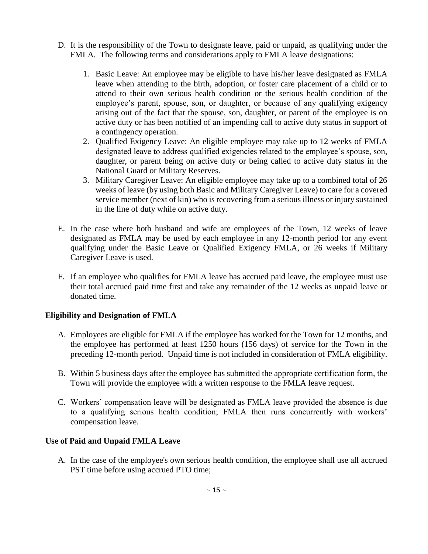- D. It is the responsibility of the Town to designate leave, paid or unpaid, as qualifying under the FMLA. The following terms and considerations apply to FMLA leave designations:
	- 1. Basic Leave: An employee may be eligible to have his/her leave designated as FMLA leave when attending to the birth, adoption, or foster care placement of a child or to attend to their own serious health condition or the serious health condition of the employee's parent, spouse, son, or daughter, or because of any qualifying exigency arising out of the fact that the spouse, son, daughter, or parent of the employee is on active duty or has been notified of an impending call to active duty status in support of a contingency operation.
	- 2. Qualified Exigency Leave: An eligible employee may take up to 12 weeks of FMLA designated leave to address qualified exigencies related to the employee's spouse, son, daughter, or parent being on active duty or being called to active duty status in the National Guard or Military Reserves.
	- 3. Military Caregiver Leave: An eligible employee may take up to a combined total of 26 weeks of leave (by using both Basic and Military Caregiver Leave) to care for a covered service member (next of kin) who is recovering from a serious illness or injury sustained in the line of duty while on active duty.
- E. In the case where both husband and wife are employees of the Town, 12 weeks of leave designated as FMLA may be used by each employee in any 12-month period for any event qualifying under the Basic Leave or Qualified Exigency FMLA, or 26 weeks if Military Caregiver Leave is used.
- F. If an employee who qualifies for FMLA leave has accrued paid leave, the employee must use their total accrued paid time first and take any remainder of the 12 weeks as unpaid leave or donated time.

#### **Eligibility and Designation of FMLA**

- A. Employees are eligible for FMLA if the employee has worked for the Town for 12 months, and the employee has performed at least 1250 hours (156 days) of service for the Town in the preceding 12-month period. Unpaid time is not included in consideration of FMLA eligibility.
- B. Within 5 business days after the employee has submitted the appropriate certification form, the Town will provide the employee with a written response to the FMLA leave request.
- C. Workers' compensation leave will be designated as FMLA leave provided the absence is due to a qualifying serious health condition; FMLA then runs concurrently with workers' compensation leave.

#### **Use of Paid and Unpaid FMLA Leave**

A. In the case of the employee's own serious health condition, the employee shall use all accrued PST time before using accrued PTO time;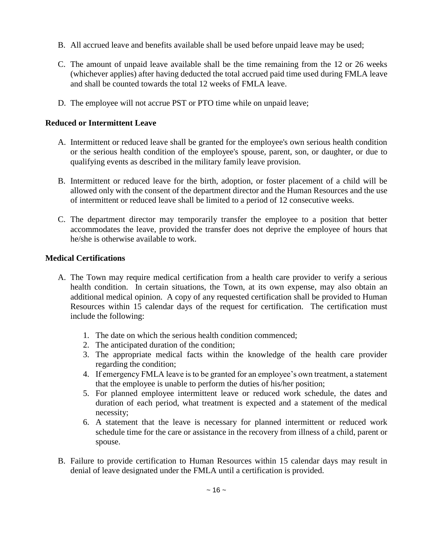- B. All accrued leave and benefits available shall be used before unpaid leave may be used;
- C. The amount of unpaid leave available shall be the time remaining from the 12 or 26 weeks (whichever applies) after having deducted the total accrued paid time used during FMLA leave and shall be counted towards the total 12 weeks of FMLA leave.
- D. The employee will not accrue PST or PTO time while on unpaid leave;

#### **Reduced or Intermittent Leave**

- A. Intermittent or reduced leave shall be granted for the employee's own serious health condition or the serious health condition of the employee's spouse, parent, son, or daughter, or due to qualifying events as described in the military family leave provision.
- B. Intermittent or reduced leave for the birth, adoption, or foster placement of a child will be allowed only with the consent of the department director and the Human Resources and the use of intermittent or reduced leave shall be limited to a period of 12 consecutive weeks.
- C. The department director may temporarily transfer the employee to a position that better accommodates the leave, provided the transfer does not deprive the employee of hours that he/she is otherwise available to work.

#### **Medical Certifications**

- A. The Town may require medical certification from a health care provider to verify a serious health condition. In certain situations, the Town, at its own expense, may also obtain an additional medical opinion. A copy of any requested certification shall be provided to Human Resources within 15 calendar days of the request for certification. The certification must include the following:
	- 1. The date on which the serious health condition commenced;
	- 2. The anticipated duration of the condition;
	- 3. The appropriate medical facts within the knowledge of the health care provider regarding the condition;
	- 4. If emergency FMLA leave is to be granted for an employee's own treatment, a statement that the employee is unable to perform the duties of his/her position;
	- 5. For planned employee intermittent leave or reduced work schedule, the dates and duration of each period, what treatment is expected and a statement of the medical necessity;
	- 6. A statement that the leave is necessary for planned intermittent or reduced work schedule time for the care or assistance in the recovery from illness of a child, parent or spouse.
- B. Failure to provide certification to Human Resources within 15 calendar days may result in denial of leave designated under the FMLA until a certification is provided.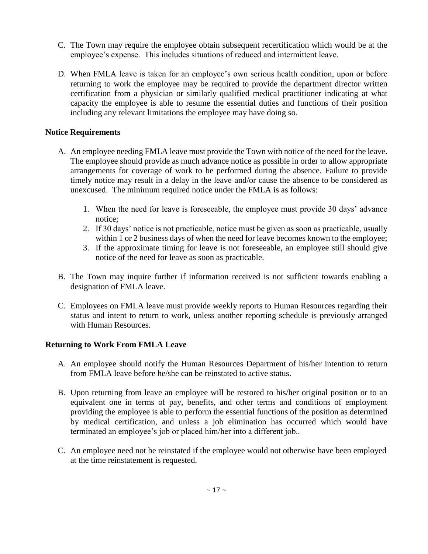- C. The Town may require the employee obtain subsequent recertification which would be at the employee's expense. This includes situations of reduced and intermittent leave.
- D. When FMLA leave is taken for an employee's own serious health condition, upon or before returning to work the employee may be required to provide the department director written certification from a physician or similarly qualified medical practitioner indicating at what capacity the employee is able to resume the essential duties and functions of their position including any relevant limitations the employee may have doing so.

#### **Notice Requirements**

- A. An employee needing FMLA leave must provide the Town with notice of the need for the leave. The employee should provide as much advance notice as possible in order to allow appropriate arrangements for coverage of work to be performed during the absence. Failure to provide timely notice may result in a delay in the leave and/or cause the absence to be considered as unexcused. The minimum required notice under the FMLA is as follows:
	- 1. When the need for leave is foreseeable, the employee must provide 30 days' advance notice;
	- 2. If 30 days' notice is not practicable, notice must be given as soon as practicable, usually within 1 or 2 business days of when the need for leave becomes known to the employee;
	- 3. If the approximate timing for leave is not foreseeable, an employee still should give notice of the need for leave as soon as practicable.
- B. The Town may inquire further if information received is not sufficient towards enabling a designation of FMLA leave.
- C. Employees on FMLA leave must provide weekly reports to Human Resources regarding their status and intent to return to work, unless another reporting schedule is previously arranged with Human Resources.

#### **Returning to Work From FMLA Leave**

- A. An employee should notify the Human Resources Department of his/her intention to return from FMLA leave before he/she can be reinstated to active status.
- B. Upon returning from leave an employee will be restored to his/her original position or to an equivalent one in terms of pay, benefits, and other terms and conditions of employment providing the employee is able to perform the essential functions of the position as determined by medical certification, and unless a job elimination has occurred which would have terminated an employee's job or placed him/her into a different job..
- C. An employee need not be reinstated if the employee would not otherwise have been employed at the time reinstatement is requested.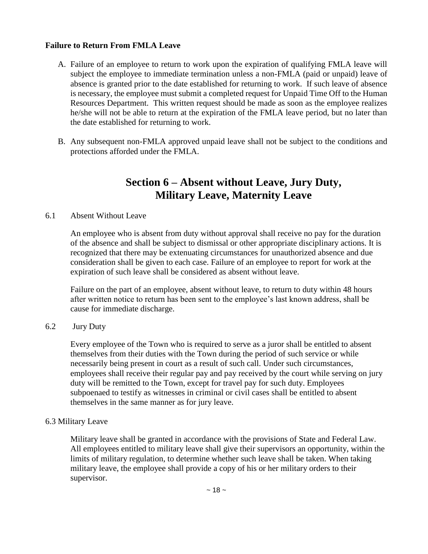#### **Failure to Return From FMLA Leave**

- A. Failure of an employee to return to work upon the expiration of qualifying FMLA leave will subject the employee to immediate termination unless a non-FMLA (paid or unpaid) leave of absence is granted prior to the date established for returning to work. If such leave of absence is necessary, the employee must submit a completed request for Unpaid Time Off to the Human Resources Department. This written request should be made as soon as the employee realizes he/she will not be able to return at the expiration of the FMLA leave period, but no later than the date established for returning to work.
- B. Any subsequent non-FMLA approved unpaid leave shall not be subject to the conditions and protections afforded under the FMLA.

### **Section 6 – Absent without Leave, Jury Duty, Military Leave, Maternity Leave**

#### 6.1 Absent Without Leave

An employee who is absent from duty without approval shall receive no pay for the duration of the absence and shall be subject to dismissal or other appropriate disciplinary actions. It is recognized that there may be extenuating circumstances for unauthorized absence and due consideration shall be given to each case. Failure of an employee to report for work at the expiration of such leave shall be considered as absent without leave.

Failure on the part of an employee, absent without leave, to return to duty within 48 hours after written notice to return has been sent to the employee's last known address, shall be cause for immediate discharge.

#### 6.2 Jury Duty

Every employee of the Town who is required to serve as a juror shall be entitled to absent themselves from their duties with the Town during the period of such service or while necessarily being present in court as a result of such call. Under such circumstances, employees shall receive their regular pay and pay received by the court while serving on jury duty will be remitted to the Town, except for travel pay for such duty. Employees subpoenaed to testify as witnesses in criminal or civil cases shall be entitled to absent themselves in the same manner as for jury leave.

#### 6.3 Military Leave

Military leave shall be granted in accordance with the provisions of State and Federal Law. All employees entitled to military leave shall give their supervisors an opportunity, within the limits of military regulation, to determine whether such leave shall be taken. When taking military leave, the employee shall provide a copy of his or her military orders to their supervisor.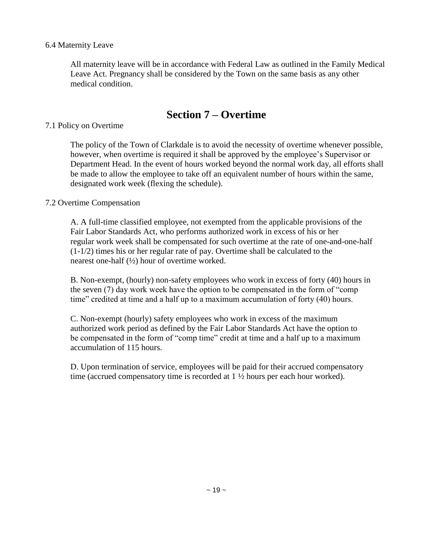#### 6.4 Maternity Leave

All maternity leave will be in accordance with Federal Law as outlined in the Family Medical Leave Act. Pregnancy shall be considered by the Town on the same basis as any other medical condition.

# **Section 7 – Overtime**

#### 7.1 Policy on Overtime

The policy of the Town of Clarkdale is to avoid the necessity of overtime whenever possible, however, when overtime is required it shall be approved by the employee's Supervisor or Department Head. In the event of hours worked beyond the normal work day, all efforts shall be made to allow the employee to take off an equivalent number of hours within the same, designated work week (flexing the schedule).

#### 7.2 Overtime Compensation

A. A full-time classified employee, not exempted from the applicable provisions of the Fair Labor Standards Act, who performs authorized work in excess of his or her regular work week shall be compensated for such overtime at the rate of one-and-one-half (1-1/2) times his or her regular rate of pay. Overtime shall be calculated to the nearest one-half (½) hour of overtime worked.

B. Non-exempt, (hourly) non-safety employees who work in excess of forty (40) hours in the seven (7) day work week have the option to be compensated in the form of "comp time" credited at time and a half up to a maximum accumulation of forty (40) hours.

C. Non-exempt (hourly) safety employees who work in excess of the maximum authorized work period as defined by the Fair Labor Standards Act have the option to be compensated in the form of "comp time" credit at time and a half up to a maximum accumulation of 115 hours.

D. Upon termination of service, employees will be paid for their accrued compensatory time (accrued compensatory time is recorded at 1 ½ hours per each hour worked).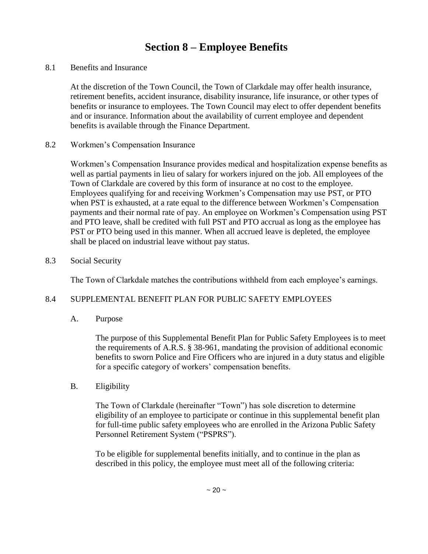# **Section 8 – Employee Benefits**

8.1 Benefits and Insurance

At the discretion of the Town Council, the Town of Clarkdale may offer health insurance, retirement benefits, accident insurance, disability insurance, life insurance, or other types of benefits or insurance to employees. The Town Council may elect to offer dependent benefits and or insurance. Information about the availability of current employee and dependent benefits is available through the Finance Department.

#### 8.2 Workmen's Compensation Insurance

Workmen's Compensation Insurance provides medical and hospitalization expense benefits as well as partial payments in lieu of salary for workers injured on the job. All employees of the Town of Clarkdale are covered by this form of insurance at no cost to the employee. Employees qualifying for and receiving Workmen's Compensation may use PST, or PTO when PST is exhausted, at a rate equal to the difference between Workmen's Compensation payments and their normal rate of pay. An employee on Workmen's Compensation using PST and PTO leave, shall be credited with full PST and PTO accrual as long as the employee has PST or PTO being used in this manner. When all accrued leave is depleted, the employee shall be placed on industrial leave without pay status.

#### 8.3 Social Security

The Town of Clarkdale matches the contributions withheld from each employee's earnings.

#### 8.4 SUPPLEMENTAL BENEFIT PLAN FOR PUBLIC SAFETY EMPLOYEES

A. Purpose

The purpose of this Supplemental Benefit Plan for Public Safety Employees is to meet the requirements of A.R.S. § 38-961, mandating the provision of additional economic benefits to sworn Police and Fire Officers who are injured in a duty status and eligible for a specific category of workers' compensation benefits.

#### B. Eligibility

The Town of Clarkdale (hereinafter "Town") has sole discretion to determine eligibility of an employee to participate or continue in this supplemental benefit plan for full-time public safety employees who are enrolled in the Arizona Public Safety Personnel Retirement System ("PSPRS").

To be eligible for supplemental benefits initially, and to continue in the plan as described in this policy, the employee must meet all of the following criteria: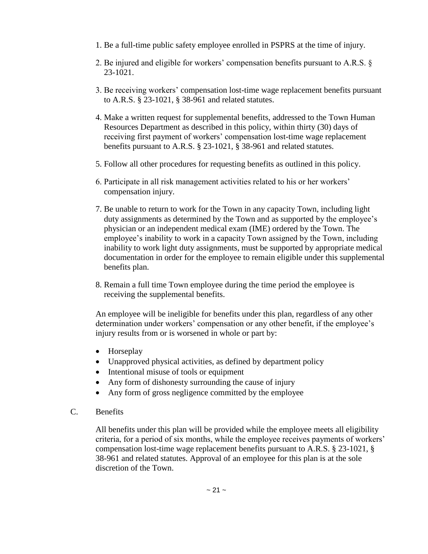- 1. Be a full-time public safety employee enrolled in PSPRS at the time of injury.
- 2. Be injured and eligible for workers' compensation benefits pursuant to A.R.S. § 23-1021.
- 3. Be receiving workers' compensation lost-time wage replacement benefits pursuant to A.R.S. § 23-1021, § 38-961 and related statutes.
- 4. Make a written request for supplemental benefits, addressed to the Town Human Resources Department as described in this policy, within thirty (30) days of receiving first payment of workers' compensation lost-time wage replacement benefits pursuant to A.R.S. § 23-1021, § 38-961 and related statutes.
- 5. Follow all other procedures for requesting benefits as outlined in this policy.
- 6. Participate in all risk management activities related to his or her workers' compensation injury.
- 7. Be unable to return to work for the Town in any capacity Town, including light duty assignments as determined by the Town and as supported by the employee's physician or an independent medical exam (IME) ordered by the Town. The employee's inability to work in a capacity Town assigned by the Town, including inability to work light duty assignments, must be supported by appropriate medical documentation in order for the employee to remain eligible under this supplemental benefits plan.
- 8. Remain a full time Town employee during the time period the employee is receiving the supplemental benefits.

An employee will be ineligible for benefits under this plan, regardless of any other determination under workers' compensation or any other benefit, if the employee's injury results from or is worsened in whole or part by:

- Horseplay
- Unapproved physical activities, as defined by department policy
- Intentional misuse of tools or equipment
- Any form of dishonesty surrounding the cause of injury
- Any form of gross negligence committed by the employee
- C. Benefits

All benefits under this plan will be provided while the employee meets all eligibility criteria, for a period of six months, while the employee receives payments of workers' compensation lost-time wage replacement benefits pursuant to A.R.S. § 23-1021, § 38-961 and related statutes. Approval of an employee for this plan is at the sole discretion of the Town.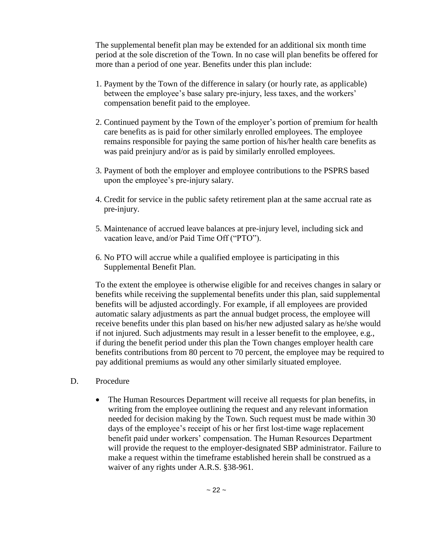The supplemental benefit plan may be extended for an additional six month time period at the sole discretion of the Town. In no case will plan benefits be offered for more than a period of one year. Benefits under this plan include:

- 1. Payment by the Town of the difference in salary (or hourly rate, as applicable) between the employee's base salary pre-injury, less taxes, and the workers' compensation benefit paid to the employee.
- 2. Continued payment by the Town of the employer's portion of premium for health care benefits as is paid for other similarly enrolled employees. The employee remains responsible for paying the same portion of his/her health care benefits as was paid preinjury and/or as is paid by similarly enrolled employees.
- 3. Payment of both the employer and employee contributions to the PSPRS based upon the employee's pre-injury salary.
- 4. Credit for service in the public safety retirement plan at the same accrual rate as pre-injury.
- 5. Maintenance of accrued leave balances at pre-injury level, including sick and vacation leave, and/or Paid Time Off ("PTO").
- 6. No PTO will accrue while a qualified employee is participating in this Supplemental Benefit Plan.

To the extent the employee is otherwise eligible for and receives changes in salary or benefits while receiving the supplemental benefits under this plan, said supplemental benefits will be adjusted accordingly. For example, if all employees are provided automatic salary adjustments as part the annual budget process, the employee will receive benefits under this plan based on his/her new adjusted salary as he/she would if not injured. Such adjustments may result in a lesser benefit to the employee, e.g., if during the benefit period under this plan the Town changes employer health care benefits contributions from 80 percent to 70 percent, the employee may be required to pay additional premiums as would any other similarly situated employee.

- D. Procedure
	- The Human Resources Department will receive all requests for plan benefits, in writing from the employee outlining the request and any relevant information needed for decision making by the Town. Such request must be made within 30 days of the employee's receipt of his or her first lost-time wage replacement benefit paid under workers' compensation. The Human Resources Department will provide the request to the employer-designated SBP administrator. Failure to make a request within the timeframe established herein shall be construed as a waiver of any rights under A.R.S. §38-961.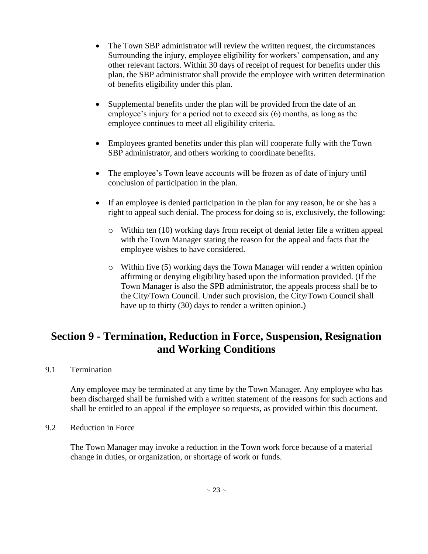- The Town SBP administrator will review the written request, the circumstances Surrounding the injury, employee eligibility for workers' compensation, and any other relevant factors. Within 30 days of receipt of request for benefits under this plan, the SBP administrator shall provide the employee with written determination of benefits eligibility under this plan.
- Supplemental benefits under the plan will be provided from the date of an employee's injury for a period not to exceed six (6) months, as long as the employee continues to meet all eligibility criteria.
- Employees granted benefits under this plan will cooperate fully with the Town SBP administrator, and others working to coordinate benefits.
- The employee's Town leave accounts will be frozen as of date of injury until conclusion of participation in the plan.
- If an employee is denied participation in the plan for any reason, he or she has a right to appeal such denial. The process for doing so is, exclusively, the following:
	- o Within ten (10) working days from receipt of denial letter file a written appeal with the Town Manager stating the reason for the appeal and facts that the employee wishes to have considered.
	- $\circ$  Within five (5) working days the Town Manager will render a written opinion affirming or denying eligibility based upon the information provided. (If the Town Manager is also the SPB administrator, the appeals process shall be to the City/Town Council. Under such provision, the City/Town Council shall have up to thirty (30) days to render a written opinion.)

# **Section 9 - Termination, Reduction in Force, Suspension, Resignation and Working Conditions**

9.1 Termination

Any employee may be terminated at any time by the Town Manager. Any employee who has been discharged shall be furnished with a written statement of the reasons for such actions and shall be entitled to an appeal if the employee so requests, as provided within this document.

#### 9.2 Reduction in Force

The Town Manager may invoke a reduction in the Town work force because of a material change in duties, or organization, or shortage of work or funds.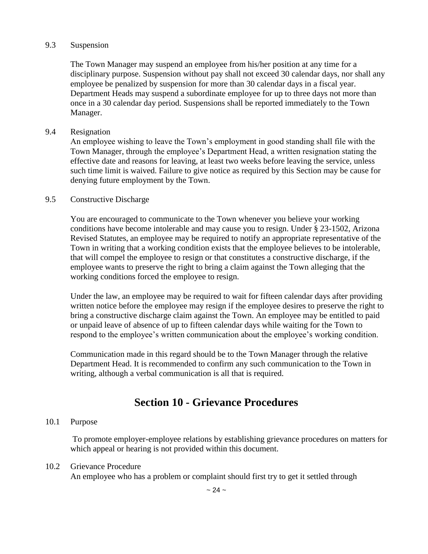#### 9.3 Suspension

The Town Manager may suspend an employee from his/her position at any time for a disciplinary purpose. Suspension without pay shall not exceed 30 calendar days, nor shall any employee be penalized by suspension for more than 30 calendar days in a fiscal year. Department Heads may suspend a subordinate employee for up to three days not more than once in a 30 calendar day period. Suspensions shall be reported immediately to the Town Manager.

#### 9.4 Resignation

An employee wishing to leave the Town's employment in good standing shall file with the Town Manager, through the employee's Department Head, a written resignation stating the effective date and reasons for leaving, at least two weeks before leaving the service, unless such time limit is waived. Failure to give notice as required by this Section may be cause for denying future employment by the Town.

#### 9.5 Constructive Discharge

You are encouraged to communicate to the Town whenever you believe your working conditions have become intolerable and may cause you to resign. Under § 23-1502, Arizona Revised Statutes, an employee may be required to notify an appropriate representative of the Town in writing that a working condition exists that the employee believes to be intolerable, that will compel the employee to resign or that constitutes a constructive discharge, if the employee wants to preserve the right to bring a claim against the Town alleging that the working conditions forced the employee to resign.

Under the law, an employee may be required to wait for fifteen calendar days after providing written notice before the employee may resign if the employee desires to preserve the right to bring a constructive discharge claim against the Town. An employee may be entitled to paid or unpaid leave of absence of up to fifteen calendar days while waiting for the Town to respond to the employee's written communication about the employee's working condition.

Communication made in this regard should be to the Town Manager through the relative Department Head. It is recommended to confirm any such communication to the Town in writing, although a verbal communication is all that is required.

### **Section 10 - Grievance Procedures**

#### 10.1 Purpose

To promote employer-employee relations by establishing grievance procedures on matters for which appeal or hearing is not provided within this document.

#### 10.2 Grievance Procedure

An employee who has a problem or complaint should first try to get it settled through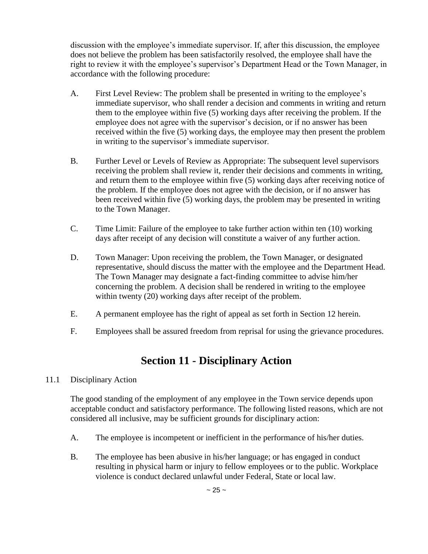discussion with the employee's immediate supervisor. If, after this discussion, the employee does not believe the problem has been satisfactorily resolved, the employee shall have the right to review it with the employee's supervisor's Department Head or the Town Manager, in accordance with the following procedure:

- A. First Level Review: The problem shall be presented in writing to the employee's immediate supervisor, who shall render a decision and comments in writing and return them to the employee within five (5) working days after receiving the problem. If the employee does not agree with the supervisor's decision, or if no answer has been received within the five (5) working days, the employee may then present the problem in writing to the supervisor's immediate supervisor.
- B. Further Level or Levels of Review as Appropriate: The subsequent level supervisors receiving the problem shall review it, render their decisions and comments in writing, and return them to the employee within five (5) working days after receiving notice of the problem. If the employee does not agree with the decision, or if no answer has been received within five (5) working days, the problem may be presented in writing to the Town Manager.
- C. Time Limit: Failure of the employee to take further action within ten (10) working days after receipt of any decision will constitute a waiver of any further action.
- D. Town Manager: Upon receiving the problem, the Town Manager, or designated representative, should discuss the matter with the employee and the Department Head. The Town Manager may designate a fact-finding committee to advise him/her concerning the problem. A decision shall be rendered in writing to the employee within twenty (20) working days after receipt of the problem.
- E. A permanent employee has the right of appeal as set forth in Section 12 herein.
- F. Employees shall be assured freedom from reprisal for using the grievance procedures.

# **Section 11 - Disciplinary Action**

#### 11.1 Disciplinary Action

The good standing of the employment of any employee in the Town service depends upon acceptable conduct and satisfactory performance. The following listed reasons, which are not considered all inclusive, may be sufficient grounds for disciplinary action:

- A. The employee is incompetent or inefficient in the performance of his/her duties.
- B. The employee has been abusive in his/her language; or has engaged in conduct resulting in physical harm or injury to fellow employees or to the public. Workplace violence is conduct declared unlawful under Federal, State or local law.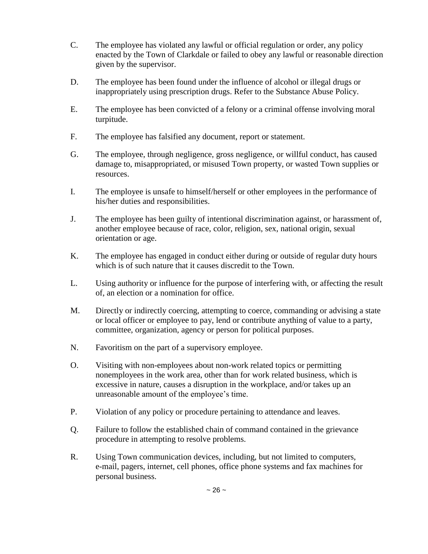- C. The employee has violated any lawful or official regulation or order, any policy enacted by the Town of Clarkdale or failed to obey any lawful or reasonable direction given by the supervisor.
- D. The employee has been found under the influence of alcohol or illegal drugs or inappropriately using prescription drugs. Refer to the Substance Abuse Policy.
- E. The employee has been convicted of a felony or a criminal offense involving moral turpitude.
- F. The employee has falsified any document, report or statement.
- G. The employee, through negligence, gross negligence, or willful conduct, has caused damage to, misappropriated, or misused Town property, or wasted Town supplies or resources.
- I. The employee is unsafe to himself/herself or other employees in the performance of his/her duties and responsibilities.
- J. The employee has been guilty of intentional discrimination against, or harassment of, another employee because of race, color, religion, sex, national origin, sexual orientation or age.
- K. The employee has engaged in conduct either during or outside of regular duty hours which is of such nature that it causes discredit to the Town.
- L. Using authority or influence for the purpose of interfering with, or affecting the result of, an election or a nomination for office.
- M. Directly or indirectly coercing, attempting to coerce, commanding or advising a state or local officer or employee to pay, lend or contribute anything of value to a party, committee, organization, agency or person for political purposes.
- N. Favoritism on the part of a supervisory employee.
- O. Visiting with non-employees about non-work related topics or permitting nonemployees in the work area, other than for work related business, which is excessive in nature, causes a disruption in the workplace, and/or takes up an unreasonable amount of the employee's time.
- P. Violation of any policy or procedure pertaining to attendance and leaves.
- Q. Failure to follow the established chain of command contained in the grievance procedure in attempting to resolve problems.
- R. Using Town communication devices, including, but not limited to computers, e-mail, pagers, internet, cell phones, office phone systems and fax machines for personal business.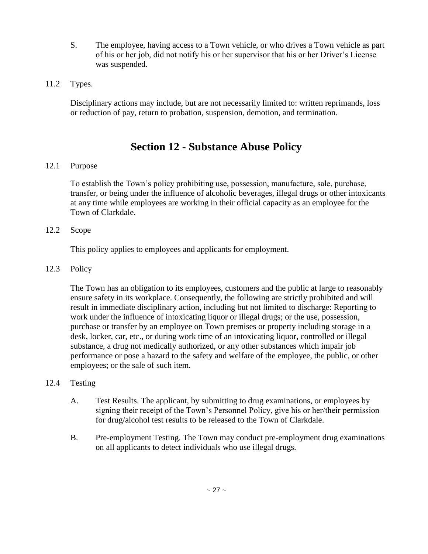- S. The employee, having access to a Town vehicle, or who drives a Town vehicle as part of his or her job, did not notify his or her supervisor that his or her Driver's License was suspended.
- 11.2 Types.

Disciplinary actions may include, but are not necessarily limited to: written reprimands, loss or reduction of pay, return to probation, suspension, demotion, and termination.

### **Section 12 - Substance Abuse Policy**

#### 12.1 Purpose

To establish the Town's policy prohibiting use, possession, manufacture, sale, purchase, transfer, or being under the influence of alcoholic beverages, illegal drugs or other intoxicants at any time while employees are working in their official capacity as an employee for the Town of Clarkdale.

#### 12.2 Scope

This policy applies to employees and applicants for employment.

#### 12.3 Policy

The Town has an obligation to its employees, customers and the public at large to reasonably ensure safety in its workplace. Consequently, the following are strictly prohibited and will result in immediate disciplinary action, including but not limited to discharge: Reporting to work under the influence of intoxicating liquor or illegal drugs; or the use, possession, purchase or transfer by an employee on Town premises or property including storage in a desk, locker, car, etc., or during work time of an intoxicating liquor, controlled or illegal substance, a drug not medically authorized, or any other substances which impair job performance or pose a hazard to the safety and welfare of the employee, the public, or other employees; or the sale of such item.

#### 12.4 Testing

- A. Test Results. The applicant, by submitting to drug examinations, or employees by signing their receipt of the Town's Personnel Policy, give his or her/their permission for drug/alcohol test results to be released to the Town of Clarkdale.
- B. Pre-employment Testing. The Town may conduct pre-employment drug examinations on all applicants to detect individuals who use illegal drugs.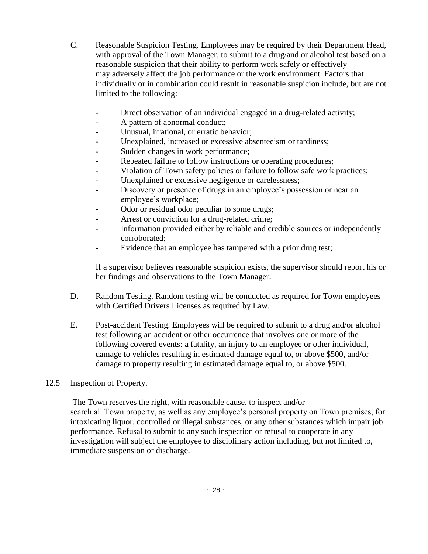- C. Reasonable Suspicion Testing. Employees may be required by their Department Head, with approval of the Town Manager, to submit to a drug/and or alcohol test based on a reasonable suspicion that their ability to perform work safely or effectively may adversely affect the job performance or the work environment. Factors that individually or in combination could result in reasonable suspicion include, but are not limited to the following:
	- Direct observation of an individual engaged in a drug-related activity;
	- A pattern of abnormal conduct;
	- Unusual, irrational, or erratic behavior;
	- Unexplained, increased or excessive absenteeism or tardiness;
	- Sudden changes in work performance;
	- Repeated failure to follow instructions or operating procedures;
	- Violation of Town safety policies or failure to follow safe work practices;
	- Unexplained or excessive negligence or carelessness;
	- Discovery or presence of drugs in an employee's possession or near an employee's workplace;
	- Odor or residual odor peculiar to some drugs;
	- Arrest or conviction for a drug-related crime;
	- Information provided either by reliable and credible sources or independently corroborated;
	- Evidence that an employee has tampered with a prior drug test;

If a supervisor believes reasonable suspicion exists, the supervisor should report his or her findings and observations to the Town Manager.

- D. Random Testing. Random testing will be conducted as required for Town employees with Certified Drivers Licenses as required by Law.
- E. Post-accident Testing. Employees will be required to submit to a drug and/or alcohol test following an accident or other occurrence that involves one or more of the following covered events: a fatality, an injury to an employee or other individual, damage to vehicles resulting in estimated damage equal to, or above \$500, and/or damage to property resulting in estimated damage equal to, or above \$500.

#### 12.5 Inspection of Property.

The Town reserves the right, with reasonable cause, to inspect and/or search all Town property, as well as any employee's personal property on Town premises, for intoxicating liquor, controlled or illegal substances, or any other substances which impair job performance. Refusal to submit to any such inspection or refusal to cooperate in any investigation will subject the employee to disciplinary action including, but not limited to, immediate suspension or discharge.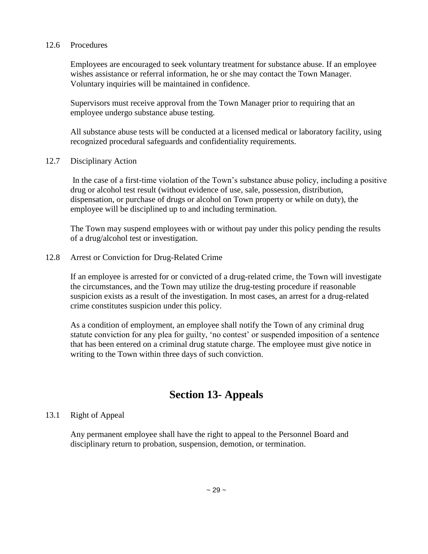#### 12.6 Procedures

Employees are encouraged to seek voluntary treatment for substance abuse. If an employee wishes assistance or referral information, he or she may contact the Town Manager. Voluntary inquiries will be maintained in confidence.

Supervisors must receive approval from the Town Manager prior to requiring that an employee undergo substance abuse testing.

All substance abuse tests will be conducted at a licensed medical or laboratory facility, using recognized procedural safeguards and confidentiality requirements.

12.7 Disciplinary Action

In the case of a first-time violation of the Town's substance abuse policy, including a positive drug or alcohol test result (without evidence of use, sale, possession, distribution, dispensation, or purchase of drugs or alcohol on Town property or while on duty), the employee will be disciplined up to and including termination.

The Town may suspend employees with or without pay under this policy pending the results of a drug/alcohol test or investigation.

#### 12.8 Arrest or Conviction for Drug-Related Crime

If an employee is arrested for or convicted of a drug-related crime, the Town will investigate the circumstances, and the Town may utilize the drug-testing procedure if reasonable suspicion exists as a result of the investigation. In most cases, an arrest for a drug-related crime constitutes suspicion under this policy.

As a condition of employment, an employee shall notify the Town of any criminal drug statute conviction for any plea for guilty, 'no contest' or suspended imposition of a sentence that has been entered on a criminal drug statute charge. The employee must give notice in writing to the Town within three days of such conviction.

### **Section 13- Appeals**

#### 13.1 Right of Appeal

Any permanent employee shall have the right to appeal to the Personnel Board and disciplinary return to probation, suspension, demotion, or termination.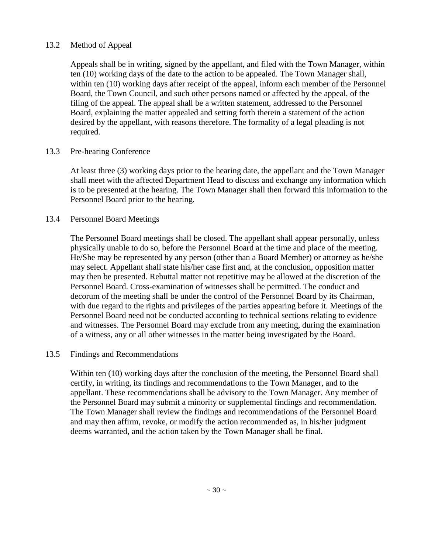#### 13.2 Method of Appeal

Appeals shall be in writing, signed by the appellant, and filed with the Town Manager, within ten (10) working days of the date to the action to be appealed. The Town Manager shall, within ten (10) working days after receipt of the appeal, inform each member of the Personnel Board, the Town Council, and such other persons named or affected by the appeal, of the filing of the appeal. The appeal shall be a written statement, addressed to the Personnel Board, explaining the matter appealed and setting forth therein a statement of the action desired by the appellant, with reasons therefore. The formality of a legal pleading is not required.

#### 13.3 Pre-hearing Conference

At least three (3) working days prior to the hearing date, the appellant and the Town Manager shall meet with the affected Department Head to discuss and exchange any information which is to be presented at the hearing. The Town Manager shall then forward this information to the Personnel Board prior to the hearing.

#### 13.4 Personnel Board Meetings

The Personnel Board meetings shall be closed. The appellant shall appear personally, unless physically unable to do so, before the Personnel Board at the time and place of the meeting. He/She may be represented by any person (other than a Board Member) or attorney as he/she may select. Appellant shall state his/her case first and, at the conclusion, opposition matter may then be presented. Rebuttal matter not repetitive may be allowed at the discretion of the Personnel Board. Cross-examination of witnesses shall be permitted. The conduct and decorum of the meeting shall be under the control of the Personnel Board by its Chairman, with due regard to the rights and privileges of the parties appearing before it. Meetings of the Personnel Board need not be conducted according to technical sections relating to evidence and witnesses. The Personnel Board may exclude from any meeting, during the examination of a witness, any or all other witnesses in the matter being investigated by the Board.

#### 13.5 Findings and Recommendations

Within ten (10) working days after the conclusion of the meeting, the Personnel Board shall certify, in writing, its findings and recommendations to the Town Manager, and to the appellant. These recommendations shall be advisory to the Town Manager. Any member of the Personnel Board may submit a minority or supplemental findings and recommendation. The Town Manager shall review the findings and recommendations of the Personnel Board and may then affirm, revoke, or modify the action recommended as, in his/her judgment deems warranted, and the action taken by the Town Manager shall be final.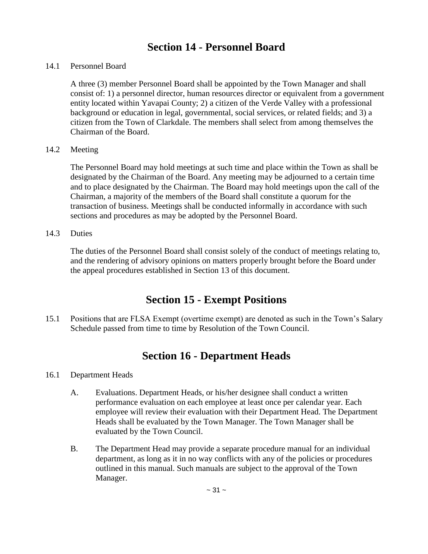### **Section 14 - Personnel Board**

#### 14.1 Personnel Board

A three (3) member Personnel Board shall be appointed by the Town Manager and shall consist of: 1) a personnel director, human resources director or equivalent from a government entity located within Yavapai County; 2) a citizen of the Verde Valley with a professional background or education in legal, governmental, social services, or related fields; and 3) a citizen from the Town of Clarkdale. The members shall select from among themselves the Chairman of the Board.

#### 14.2 Meeting

The Personnel Board may hold meetings at such time and place within the Town as shall be designated by the Chairman of the Board. Any meeting may be adjourned to a certain time and to place designated by the Chairman. The Board may hold meetings upon the call of the Chairman, a majority of the members of the Board shall constitute a quorum for the transaction of business. Meetings shall be conducted informally in accordance with such sections and procedures as may be adopted by the Personnel Board.

#### 14.3 Duties

The duties of the Personnel Board shall consist solely of the conduct of meetings relating to, and the rendering of advisory opinions on matters properly brought before the Board under the appeal procedures established in Section 13 of this document.

### **Section 15 - Exempt Positions**

15.1 Positions that are FLSA Exempt (overtime exempt) are denoted as such in the Town's Salary Schedule passed from time to time by Resolution of the Town Council.

### **Section 16 - Department Heads**

#### 16.1 Department Heads

- A. Evaluations. Department Heads, or his/her designee shall conduct a written performance evaluation on each employee at least once per calendar year. Each employee will review their evaluation with their Department Head. The Department Heads shall be evaluated by the Town Manager. The Town Manager shall be evaluated by the Town Council.
- B. The Department Head may provide a separate procedure manual for an individual department, as long as it in no way conflicts with any of the policies or procedures outlined in this manual. Such manuals are subject to the approval of the Town Manager.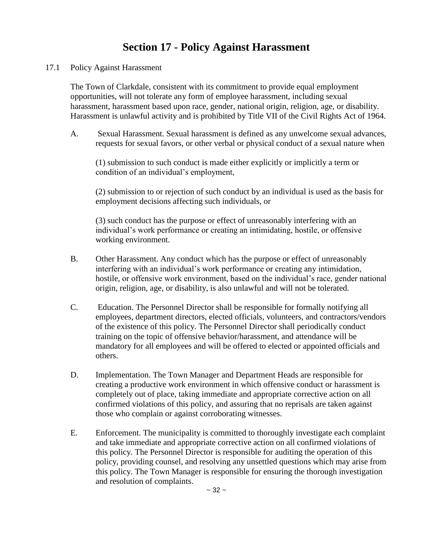# **Section 17 - Policy Against Harassment**

17.1 Policy Against Harassment

The Town of Clarkdale, consistent with its commitment to provide equal employment opportunities, will not tolerate any form of employee harassment, including sexual harassment, harassment based upon race, gender, national origin, religion, age, or disability. Harassment is unlawful activity and is prohibited by Title VII of the Civil Rights Act of 1964.

A. Sexual Harassment. Sexual harassment is defined as any unwelcome sexual advances, requests for sexual favors, or other verbal or physical conduct of a sexual nature when

(1) submission to such conduct is made either explicitly or implicitly a term or condition of an individual's employment,

(2) submission to or rejection of such conduct by an individual is used as the basis for employment decisions affecting such individuals, or

(3) such conduct has the purpose or effect of unreasonably interfering with an individual's work performance or creating an intimidating, hostile, or offensive working environment.

- B. Other Harassment. Any conduct which has the purpose or effect of unreasonably interfering with an individual's work performance or creating any intimidation, hostile, or offensive work environment, based on the individual's race, gender national origin, religion, age, or disability, is also unlawful and will not be tolerated.
- C. Education. The Personnel Director shall be responsible for formally notifying all employees, department directors, elected officials, volunteers, and contractors/vendors of the existence of this policy. The Personnel Director shall periodically conduct training on the topic of offensive behavior/harassment, and attendance will be mandatory for all employees and will be offered to elected or appointed officials and others.
- D. Implementation. The Town Manager and Department Heads are responsible for creating a productive work environment in which offensive conduct or harassment is completely out of place, taking immediate and appropriate corrective action on all confirmed violations of this policy, and assuring that no reprisals are taken against those who complain or against corroborating witnesses.
- E. Enforcement. The municipality is committed to thoroughly investigate each complaint and take immediate and appropriate corrective action on all confirmed violations of this policy. The Personnel Director is responsible for auditing the operation of this policy, providing counsel, and resolving any unsettled questions which may arise from this policy. The Town Manager is responsible for ensuring the thorough investigation and resolution of complaints.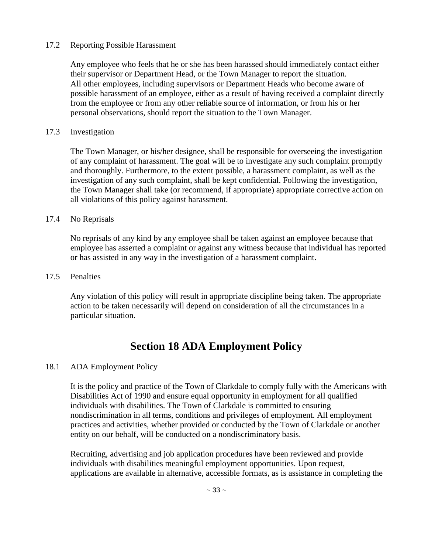#### 17.2 Reporting Possible Harassment

Any employee who feels that he or she has been harassed should immediately contact either their supervisor or Department Head, or the Town Manager to report the situation. All other employees, including supervisors or Department Heads who become aware of possible harassment of an employee, either as a result of having received a complaint directly from the employee or from any other reliable source of information, or from his or her personal observations, should report the situation to the Town Manager.

#### 17.3 Investigation

The Town Manager, or his/her designee, shall be responsible for overseeing the investigation of any complaint of harassment. The goal will be to investigate any such complaint promptly and thoroughly. Furthermore, to the extent possible, a harassment complaint, as well as the investigation of any such complaint, shall be kept confidential. Following the investigation, the Town Manager shall take (or recommend, if appropriate) appropriate corrective action on all violations of this policy against harassment.

#### 17.4 No Reprisals

No reprisals of any kind by any employee shall be taken against an employee because that employee has asserted a complaint or against any witness because that individual has reported or has assisted in any way in the investigation of a harassment complaint.

#### 17.5 Penalties

Any violation of this policy will result in appropriate discipline being taken. The appropriate action to be taken necessarily will depend on consideration of all the circumstances in a particular situation.

# **Section 18 ADA Employment Policy**

#### 18.1 ADA Employment Policy

It is the policy and practice of the Town of Clarkdale to comply fully with the Americans with Disabilities Act of 1990 and ensure equal opportunity in employment for all qualified individuals with disabilities. The Town of Clarkdale is committed to ensuring nondiscrimination in all terms, conditions and privileges of employment. All employment practices and activities, whether provided or conducted by the Town of Clarkdale or another entity on our behalf, will be conducted on a nondiscriminatory basis.

Recruiting, advertising and job application procedures have been reviewed and provide individuals with disabilities meaningful employment opportunities. Upon request, applications are available in alternative, accessible formats, as is assistance in completing the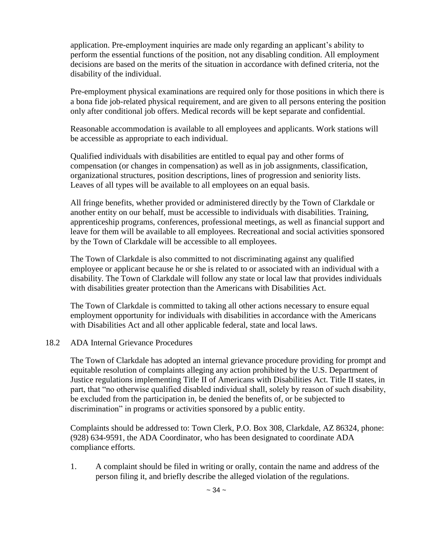application. Pre-employment inquiries are made only regarding an applicant's ability to perform the essential functions of the position, not any disabling condition. All employment decisions are based on the merits of the situation in accordance with defined criteria, not the disability of the individual.

Pre-employment physical examinations are required only for those positions in which there is a bona fide job-related physical requirement, and are given to all persons entering the position only after conditional job offers. Medical records will be kept separate and confidential.

Reasonable accommodation is available to all employees and applicants. Work stations will be accessible as appropriate to each individual.

Qualified individuals with disabilities are entitled to equal pay and other forms of compensation (or changes in compensation) as well as in job assignments, classification, organizational structures, position descriptions, lines of progression and seniority lists. Leaves of all types will be available to all employees on an equal basis.

All fringe benefits, whether provided or administered directly by the Town of Clarkdale or another entity on our behalf, must be accessible to individuals with disabilities. Training, apprenticeship programs, conferences, professional meetings, as well as financial support and leave for them will be available to all employees. Recreational and social activities sponsored by the Town of Clarkdale will be accessible to all employees.

The Town of Clarkdale is also committed to not discriminating against any qualified employee or applicant because he or she is related to or associated with an individual with a disability. The Town of Clarkdale will follow any state or local law that provides individuals with disabilities greater protection than the Americans with Disabilities Act.

The Town of Clarkdale is committed to taking all other actions necessary to ensure equal employment opportunity for individuals with disabilities in accordance with the Americans with Disabilities Act and all other applicable federal, state and local laws.

#### 18.2 ADA Internal Grievance Procedures

The Town of Clarkdale has adopted an internal grievance procedure providing for prompt and equitable resolution of complaints alleging any action prohibited by the U.S. Department of Justice regulations implementing Title II of Americans with Disabilities Act. Title II states, in part, that "no otherwise qualified disabled individual shall, solely by reason of such disability, be excluded from the participation in, be denied the benefits of, or be subjected to discrimination" in programs or activities sponsored by a public entity.

Complaints should be addressed to: Town Clerk, P.O. Box 308, Clarkdale, AZ 86324, phone: (928) 634-9591, the ADA Coordinator, who has been designated to coordinate ADA compliance efforts.

1. A complaint should be filed in writing or orally, contain the name and address of the person filing it, and briefly describe the alleged violation of the regulations.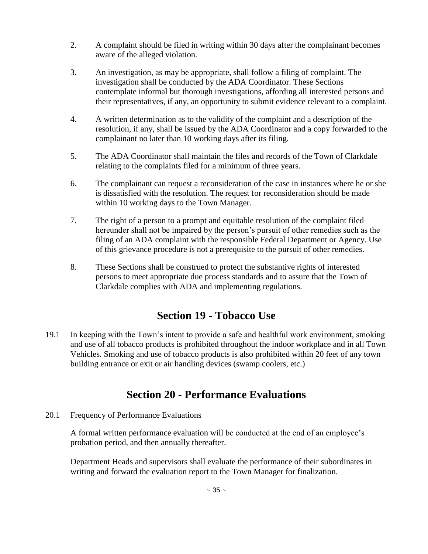- 2. A complaint should be filed in writing within 30 days after the complainant becomes aware of the alleged violation.
- 3. An investigation, as may be appropriate, shall follow a filing of complaint. The investigation shall be conducted by the ADA Coordinator. These Sections contemplate informal but thorough investigations, affording all interested persons and their representatives, if any, an opportunity to submit evidence relevant to a complaint.
- 4. A written determination as to the validity of the complaint and a description of the resolution, if any, shall be issued by the ADA Coordinator and a copy forwarded to the complainant no later than 10 working days after its filing.
- 5. The ADA Coordinator shall maintain the files and records of the Town of Clarkdale relating to the complaints filed for a minimum of three years.
- 6. The complainant can request a reconsideration of the case in instances where he or she is dissatisfied with the resolution. The request for reconsideration should be made within 10 working days to the Town Manager.
- 7. The right of a person to a prompt and equitable resolution of the complaint filed hereunder shall not be impaired by the person's pursuit of other remedies such as the filing of an ADA complaint with the responsible Federal Department or Agency. Use of this grievance procedure is not a prerequisite to the pursuit of other remedies.
- 8. These Sections shall be construed to protect the substantive rights of interested persons to meet appropriate due process standards and to assure that the Town of Clarkdale complies with ADA and implementing regulations.

# **Section 19 - Tobacco Use**

19.1 In keeping with the Town's intent to provide a safe and healthful work environment, smoking and use of all tobacco products is prohibited throughout the indoor workplace and in all Town Vehicles. Smoking and use of tobacco products is also prohibited within 20 feet of any town building entrance or exit or air handling devices (swamp coolers, etc.)

### **Section 20 - Performance Evaluations**

20.1 Frequency of Performance Evaluations

A formal written performance evaluation will be conducted at the end of an employee's probation period, and then annually thereafter.

Department Heads and supervisors shall evaluate the performance of their subordinates in writing and forward the evaluation report to the Town Manager for finalization.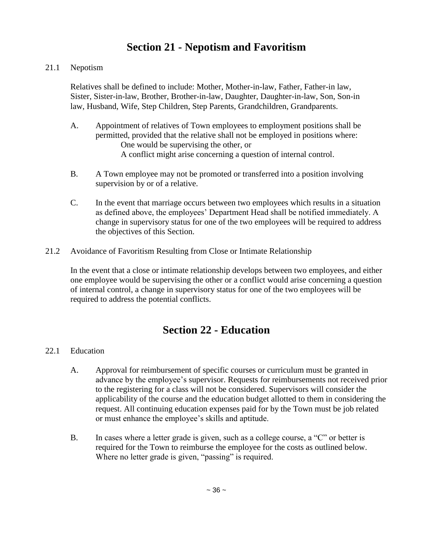# **Section 21 - Nepotism and Favoritism**

#### 21.1 Nepotism

Relatives shall be defined to include: Mother, Mother-in-law, Father, Father-in law, Sister, Sister-in-law, Brother, Brother-in-law, Daughter, Daughter-in-law, Son, Son-in law, Husband, Wife, Step Children, Step Parents, Grandchildren, Grandparents.

- A. Appointment of relatives of Town employees to employment positions shall be permitted, provided that the relative shall not be employed in positions where: One would be supervising the other, or A conflict might arise concerning a question of internal control.
- B. A Town employee may not be promoted or transferred into a position involving supervision by or of a relative.
- C. In the event that marriage occurs between two employees which results in a situation as defined above, the employees' Department Head shall be notified immediately. A change in supervisory status for one of the two employees will be required to address the objectives of this Section.
- 21.2 Avoidance of Favoritism Resulting from Close or Intimate Relationship

In the event that a close or intimate relationship develops between two employees, and either one employee would be supervising the other or a conflict would arise concerning a question of internal control, a change in supervisory status for one of the two employees will be required to address the potential conflicts.

# **Section 22 - Education**

#### 22.1 Education

- A. Approval for reimbursement of specific courses or curriculum must be granted in advance by the employee's supervisor. Requests for reimbursements not received prior to the registering for a class will not be considered. Supervisors will consider the applicability of the course and the education budget allotted to them in considering the request. All continuing education expenses paid for by the Town must be job related or must enhance the employee's skills and aptitude.
- B. In cases where a letter grade is given, such as a college course, a "C" or better is required for the Town to reimburse the employee for the costs as outlined below. Where no letter grade is given, "passing" is required.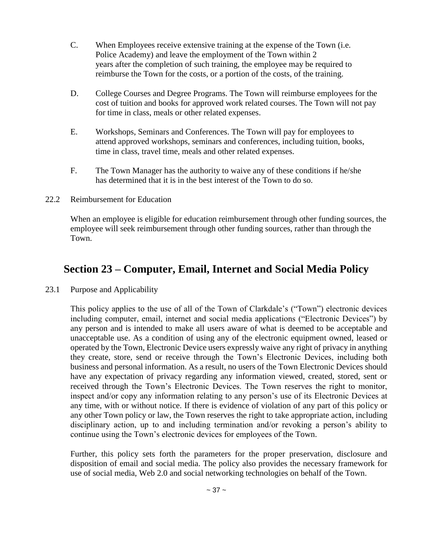- C. When Employees receive extensive training at the expense of the Town (i.e. Police Academy) and leave the employment of the Town within 2 years after the completion of such training, the employee may be required to reimburse the Town for the costs, or a portion of the costs, of the training.
- D. College Courses and Degree Programs. The Town will reimburse employees for the cost of tuition and books for approved work related courses. The Town will not pay for time in class, meals or other related expenses.
- E. Workshops, Seminars and Conferences. The Town will pay for employees to attend approved workshops, seminars and conferences, including tuition, books, time in class, travel time, meals and other related expenses.
- F. The Town Manager has the authority to waive any of these conditions if he/she has determined that it is in the best interest of the Town to do so.
- 22.2 Reimbursement for Education

When an employee is eligible for education reimbursement through other funding sources, the employee will seek reimbursement through other funding sources, rather than through the Town.

### **Section 23 – Computer, Email, Internet and Social Media Policy**

23.1 Purpose and Applicability

This policy applies to the use of all of the Town of Clarkdale's ("Town") electronic devices including computer, email, internet and social media applications ("Electronic Devices") by any person and is intended to make all users aware of what is deemed to be acceptable and unacceptable use. As a condition of using any of the electronic equipment owned, leased or operated by the Town, Electronic Device users expressly waive any right of privacy in anything they create, store, send or receive through the Town's Electronic Devices, including both business and personal information. As a result, no users of the Town Electronic Devices should have any expectation of privacy regarding any information viewed, created, stored, sent or received through the Town's Electronic Devices. The Town reserves the right to monitor, inspect and/or copy any information relating to any person's use of its Electronic Devices at any time, with or without notice. If there is evidence of violation of any part of this policy or any other Town policy or law, the Town reserves the right to take appropriate action, including disciplinary action, up to and including termination and/or revoking a person's ability to continue using the Town's electronic devices for employees of the Town.

Further, this policy sets forth the parameters for the proper preservation, disclosure and disposition of email and social media. The policy also provides the necessary framework for use of social media, Web 2.0 and social networking technologies on behalf of the Town.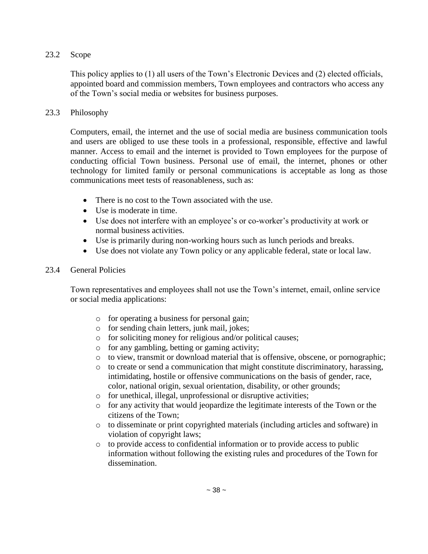#### 23.2 Scope

This policy applies to (1) all users of the Town's Electronic Devices and (2) elected officials, appointed board and commission members, Town employees and contractors who access any of the Town's social media or websites for business purposes.

#### 23.3 Philosophy

Computers, email, the internet and the use of social media are business communication tools and users are obliged to use these tools in a professional, responsible, effective and lawful manner. Access to email and the internet is provided to Town employees for the purpose of conducting official Town business. Personal use of email, the internet, phones or other technology for limited family or personal communications is acceptable as long as those communications meet tests of reasonableness, such as:

- There is no cost to the Town associated with the use.
- Use is moderate in time.
- Use does not interfere with an employee's or co-worker's productivity at work or normal business activities.
- Use is primarily during non-working hours such as lunch periods and breaks.
- Use does not violate any Town policy or any applicable federal, state or local law.

#### 23.4 General Policies

Town representatives and employees shall not use the Town's internet, email, online service or social media applications:

- o for operating a business for personal gain;
- o for sending chain letters, junk mail, jokes;
- o for soliciting money for religious and/or political causes;
- o for any gambling, betting or gaming activity;
- o to view, transmit or download material that is offensive, obscene, or pornographic;
- $\circ$  to create or send a communication that might constitute discriminatory, harassing, intimidating, hostile or offensive communications on the basis of gender, race, color, national origin, sexual orientation, disability, or other grounds;
- o for unethical, illegal, unprofessional or disruptive activities;
- o for any activity that would jeopardize the legitimate interests of the Town or the citizens of the Town;
- o to disseminate or print copyrighted materials (including articles and software) in violation of copyright laws;
- o to provide access to confidential information or to provide access to public information without following the existing rules and procedures of the Town for dissemination.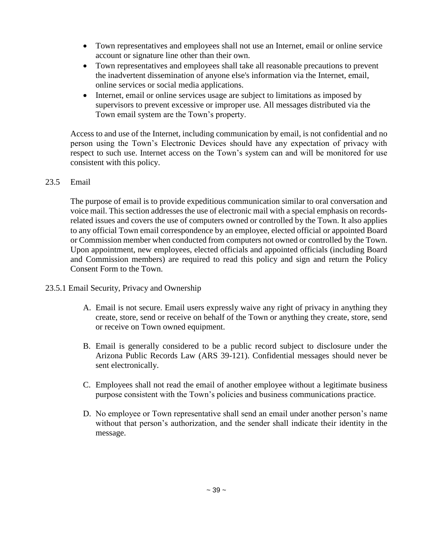- Town representatives and employees shall not use an Internet, email or online service account or signature line other than their own.
- Town representatives and employees shall take all reasonable precautions to prevent the inadvertent dissemination of anyone else's information via the Internet, email, online services or social media applications.
- Internet, email or online services usage are subject to limitations as imposed by supervisors to prevent excessive or improper use. All messages distributed via the Town email system are the Town's property.

Access to and use of the Internet, including communication by email, is not confidential and no person using the Town's Electronic Devices should have any expectation of privacy with respect to such use. Internet access on the Town's system can and will be monitored for use consistent with this policy.

#### 23.5 Email

The purpose of email is to provide expeditious communication similar to oral conversation and voice mail. This section addresses the use of electronic mail with a special emphasis on recordsrelated issues and covers the use of computers owned or controlled by the Town. It also applies to any official Town email correspondence by an employee, elected official or appointed Board or Commission member when conducted from computers not owned or controlled by the Town. Upon appointment, new employees, elected officials and appointed officials (including Board and Commission members) are required to read this policy and sign and return the Policy Consent Form to the Town.

- 23.5.1 Email Security, Privacy and Ownership
	- A. Email is not secure. Email users expressly waive any right of privacy in anything they create, store, send or receive on behalf of the Town or anything they create, store, send or receive on Town owned equipment.
	- B. Email is generally considered to be a public record subject to disclosure under the Arizona Public Records Law (ARS 39-121). Confidential messages should never be sent electronically.
	- C. Employees shall not read the email of another employee without a legitimate business purpose consistent with the Town's policies and business communications practice.
	- D. No employee or Town representative shall send an email under another person's name without that person's authorization, and the sender shall indicate their identity in the message.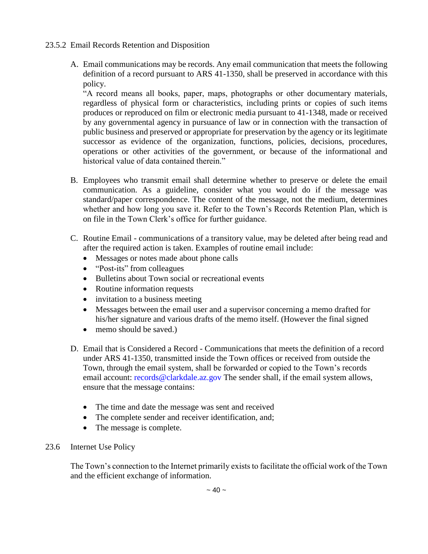- 23.5.2 Email Records Retention and Disposition
	- A. Email communications may be records. Any email communication that meets the following definition of a record pursuant to ARS 41-1350, shall be preserved in accordance with this policy.

"A record means all books, paper, maps, photographs or other documentary materials, regardless of physical form or characteristics, including prints or copies of such items produces or reproduced on film or electronic media pursuant to 41-1348, made or received by any governmental agency in pursuance of law or in connection with the transaction of public business and preserved or appropriate for preservation by the agency or its legitimate successor as evidence of the organization, functions, policies, decisions, procedures, operations or other activities of the government, or because of the informational and historical value of data contained therein."

- B. Employees who transmit email shall determine whether to preserve or delete the email communication. As a guideline, consider what you would do if the message was standard/paper correspondence. The content of the message, not the medium, determines whether and how long you save it. Refer to the Town's Records Retention Plan, which is on file in the Town Clerk's office for further guidance.
- C. Routine Email communications of a transitory value, may be deleted after being read and after the required action is taken. Examples of routine email include:
	- Messages or notes made about phone calls
	- "Post-its" from colleagues
	- Bulletins about Town social or recreational events
	- Routine information requests
	- invitation to a business meeting
	- Messages between the email user and a supervisor concerning a memo drafted for his/her signature and various drafts of the memo itself. (However the final signed
	- memo should be saved.)
- D. Email that is Considered a Record Communications that meets the definition of a record under ARS 41-1350, transmitted inside the Town offices or received from outside the Town, through the email system, shall be forwarded or copied to the Town's records email account: records@clarkdale.az.gov The sender shall, if the email system allows, ensure that the message contains:
	- The time and date the message was sent and received
	- The complete sender and receiver identification, and;
	- The message is complete.
- 23.6 Internet Use Policy

The Town's connection to the Internet primarily exists to facilitate the official work of the Town and the efficient exchange of information.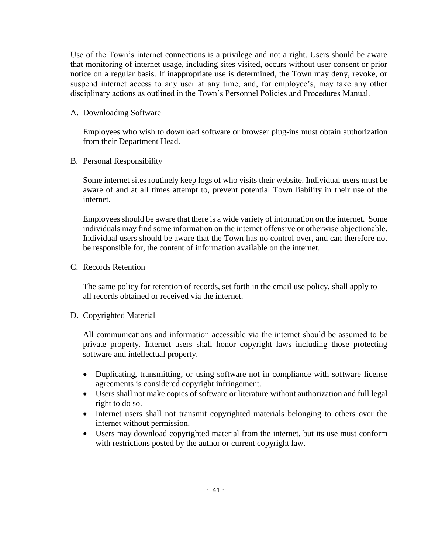Use of the Town's internet connections is a privilege and not a right. Users should be aware that monitoring of internet usage, including sites visited, occurs without user consent or prior notice on a regular basis. If inappropriate use is determined, the Town may deny, revoke, or suspend internet access to any user at any time, and, for employee's, may take any other disciplinary actions as outlined in the Town's Personnel Policies and Procedures Manual.

#### A. Downloading Software

Employees who wish to download software or browser plug-ins must obtain authorization from their Department Head.

B. Personal Responsibility

Some internet sites routinely keep logs of who visits their website. Individual users must be aware of and at all times attempt to, prevent potential Town liability in their use of the internet.

Employees should be aware that there is a wide variety of information on the internet. Some individuals may find some information on the internet offensive or otherwise objectionable. Individual users should be aware that the Town has no control over, and can therefore not be responsible for, the content of information available on the internet.

C. Records Retention

The same policy for retention of records, set forth in the email use policy, shall apply to all records obtained or received via the internet.

#### D. Copyrighted Material

All communications and information accessible via the internet should be assumed to be private property. Internet users shall honor copyright laws including those protecting software and intellectual property.

- Duplicating, transmitting, or using software not in compliance with software license agreements is considered copyright infringement.
- Users shall not make copies of software or literature without authorization and full legal right to do so.
- Internet users shall not transmit copyrighted materials belonging to others over the internet without permission.
- Users may download copyrighted material from the internet, but its use must conform with restrictions posted by the author or current copyright law.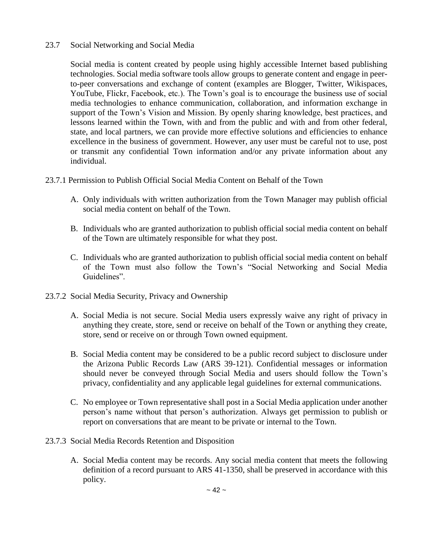#### 23.7 Social Networking and Social Media

Social media is content created by people using highly accessible Internet based publishing technologies. Social media software tools allow groups to generate content and engage in peerto-peer conversations and exchange of content (examples are Blogger, Twitter, Wikispaces, YouTube, Flickr, Facebook, etc.). The Town's goal is to encourage the business use of social media technologies to enhance communication, collaboration, and information exchange in support of the Town's Vision and Mission. By openly sharing knowledge, best practices, and lessons learned within the Town, with and from the public and with and from other federal, state, and local partners, we can provide more effective solutions and efficiencies to enhance excellence in the business of government. However, any user must be careful not to use, post or transmit any confidential Town information and/or any private information about any individual.

#### 23.7.1 Permission to Publish Official Social Media Content on Behalf of the Town

- A. Only individuals with written authorization from the Town Manager may publish official social media content on behalf of the Town.
- B. Individuals who are granted authorization to publish official social media content on behalf of the Town are ultimately responsible for what they post.
- C. Individuals who are granted authorization to publish official social media content on behalf of the Town must also follow the Town's "Social Networking and Social Media Guidelines".
- 23.7.2 Social Media Security, Privacy and Ownership
	- A. Social Media is not secure. Social Media users expressly waive any right of privacy in anything they create, store, send or receive on behalf of the Town or anything they create, store, send or receive on or through Town owned equipment.
	- B. Social Media content may be considered to be a public record subject to disclosure under the Arizona Public Records Law (ARS 39-121). Confidential messages or information should never be conveyed through Social Media and users should follow the Town's privacy, confidentiality and any applicable legal guidelines for external communications.
	- C. No employee or Town representative shall post in a Social Media application under another person's name without that person's authorization. Always get permission to publish or report on conversations that are meant to be private or internal to the Town.
- 23.7.3 Social Media Records Retention and Disposition
	- A. Social Media content may be records. Any social media content that meets the following definition of a record pursuant to ARS 41-1350, shall be preserved in accordance with this policy.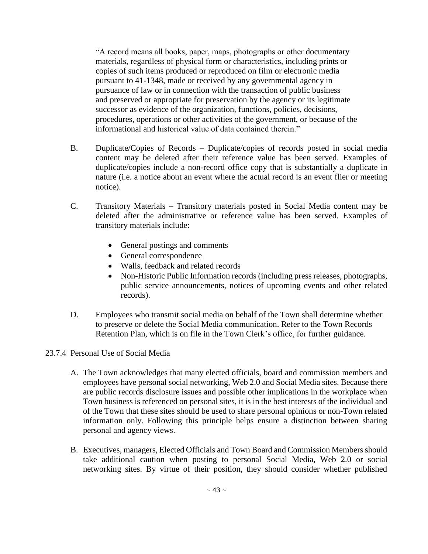"A record means all books, paper, maps, photographs or other documentary materials, regardless of physical form or characteristics, including prints or copies of such items produced or reproduced on film or electronic media pursuant to 41-1348, made or received by any governmental agency in pursuance of law or in connection with the transaction of public business and preserved or appropriate for preservation by the agency or its legitimate successor as evidence of the organization, functions, policies, decisions, procedures, operations or other activities of the government, or because of the informational and historical value of data contained therein."

- B. Duplicate/Copies of Records Duplicate/copies of records posted in social media content may be deleted after their reference value has been served. Examples of duplicate/copies include a non-record office copy that is substantially a duplicate in nature (i.e. a notice about an event where the actual record is an event flier or meeting notice).
- C. Transitory Materials Transitory materials posted in Social Media content may be deleted after the administrative or reference value has been served. Examples of transitory materials include:
	- General postings and comments
	- General correspondence
	- Walls, feedback and related records
	- Non-Historic Public Information records (including press releases, photographs, public service announcements, notices of upcoming events and other related records).
- D. Employees who transmit social media on behalf of the Town shall determine whether to preserve or delete the Social Media communication. Refer to the Town Records Retention Plan, which is on file in the Town Clerk's office, for further guidance.
- 23.7.4 Personal Use of Social Media
	- A. The Town acknowledges that many elected officials, board and commission members and employees have personal social networking, Web 2.0 and Social Media sites. Because there are public records disclosure issues and possible other implications in the workplace when Town business is referenced on personal sites, it is in the best interests of the individual and of the Town that these sites should be used to share personal opinions or non-Town related information only. Following this principle helps ensure a distinction between sharing personal and agency views.
	- B. Executives, managers, Elected Officials and Town Board and Commission Members should take additional caution when posting to personal Social Media, Web 2.0 or social networking sites. By virtue of their position, they should consider whether published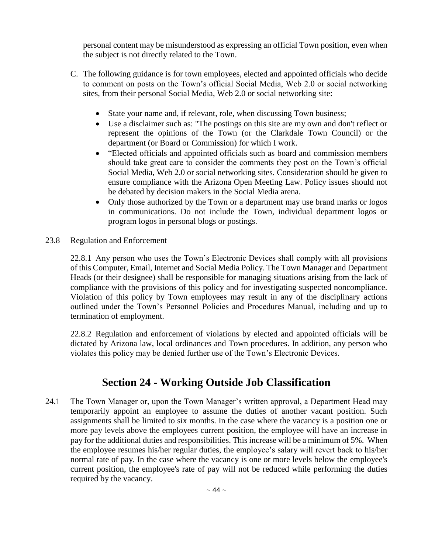personal content may be misunderstood as expressing an official Town position, even when the subject is not directly related to the Town.

- C. The following guidance is for town employees, elected and appointed officials who decide to comment on posts on the Town's official Social Media, Web 2.0 or social networking sites, from their personal Social Media, Web 2.0 or social networking site:
	- State your name and, if relevant, role, when discussing Town business;
	- Use a disclaimer such as: "The postings on this site are my own and don't reflect or represent the opinions of the Town (or the Clarkdale Town Council) or the department (or Board or Commission) for which I work.
	- "Elected officials and appointed officials such as board and commission members should take great care to consider the comments they post on the Town's official Social Media, Web 2.0 or social networking sites. Consideration should be given to ensure compliance with the Arizona Open Meeting Law. Policy issues should not be debated by decision makers in the Social Media arena.
	- Only those authorized by the Town or a department may use brand marks or logos in communications. Do not include the Town, individual department logos or program logos in personal blogs or postings.
- 23.8 Regulation and Enforcement

22.8.1 Any person who uses the Town's Electronic Devices shall comply with all provisions of this Computer, Email, Internet and Social Media Policy. The Town Manager and Department Heads (or their designee) shall be responsible for managing situations arising from the lack of compliance with the provisions of this policy and for investigating suspected noncompliance. Violation of this policy by Town employees may result in any of the disciplinary actions outlined under the Town's Personnel Policies and Procedures Manual, including and up to termination of employment.

22.8.2 Regulation and enforcement of violations by elected and appointed officials will be dictated by Arizona law, local ordinances and Town procedures. In addition, any person who violates this policy may be denied further use of the Town's Electronic Devices.

# **Section 24 - Working Outside Job Classification**

24.1 The Town Manager or, upon the Town Manager's written approval, a Department Head may temporarily appoint an employee to assume the duties of another vacant position. Such assignments shall be limited to six months. In the case where the vacancy is a position one or more pay levels above the employees current position, the employee will have an increase in pay for the additional duties and responsibilities. This increase will be a minimum of 5%. When the employee resumes his/her regular duties, the employee's salary will revert back to his/her normal rate of pay. In the case where the vacancy is one or more levels below the employee's current position, the employee's rate of pay will not be reduced while performing the duties required by the vacancy.